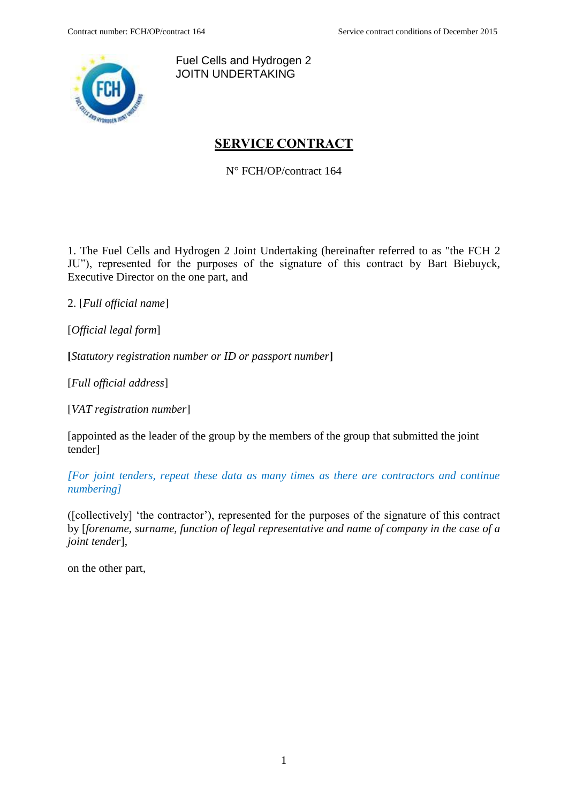<span id="page-0-0"></span>

Fuel Cells and Hydrogen 2 JOITN UNDERTAKING

# **SERVICE CONTRACT**

N° FCH/OP/contract 164

1. The Fuel Cells and Hydrogen 2 Joint Undertaking (hereinafter referred to as "the FCH 2 JU"), represented for the purposes of the signature of this contract by Bart Biebuyck, Executive Director on the one part, and

2. [*Full official name*]

[*Official legal form*]

**[***Statutory registration number or ID or passport number***]**

[*Full official address*]

[*VAT registration number*]

[appointed as the leader of the group by the members of the group that submitted the joint tender]

*[For joint tenders, repeat these data as many times as there are contractors and continue numbering]*

([collectively] 'the contractor'), represented for the purposes of the signature of this contract by [*forename, surname, function of legal representative and name of company in the case of a joint tender*],

on the other part,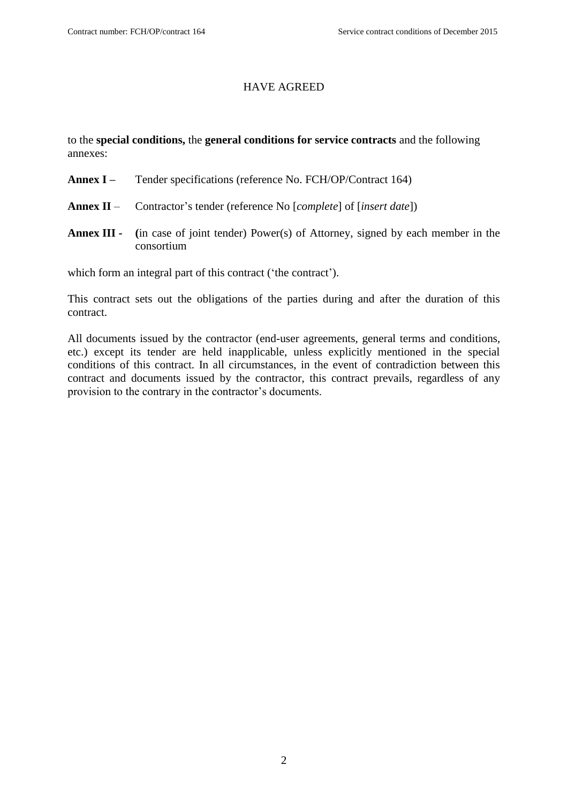### HAVE AGREED

to the **special conditions,** the **general conditions for service contracts** and the following annexes:

- **Annex I –** Tender specifications (reference No. FCH/OP/Contract 164)
- **Annex II** Contractor's tender (reference No [*complete*] of [*insert date*])
- **Annex III - (**in case of joint tender) Power(s) of Attorney, signed by each member in the consortium

which form an integral part of this contract ('the contract').

This contract sets out the obligations of the parties during and after the duration of this contract.

All documents issued by the contractor (end-user agreements, general terms and conditions, etc.) except its tender are held inapplicable, unless explicitly mentioned in the special conditions of this contract. In all circumstances, in the event of contradiction between this contract and documents issued by the contractor, this contract prevails, regardless of any provision to the contrary in the contractor's documents.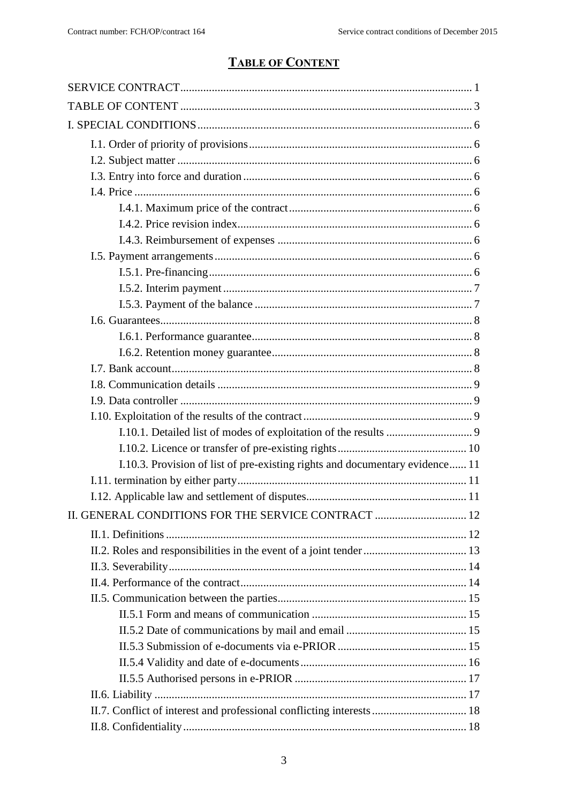# **TABLE OF CONTENT**

<span id="page-2-0"></span>

| I.10.3. Provision of list of pre-existing rights and documentary evidence 11 |
|------------------------------------------------------------------------------|
|                                                                              |
|                                                                              |
| II. GENERAL CONDITIONS FOR THE SERVICE CONTRACT  12                          |
|                                                                              |
|                                                                              |
|                                                                              |
|                                                                              |
|                                                                              |
|                                                                              |
|                                                                              |
|                                                                              |
|                                                                              |
|                                                                              |
|                                                                              |
|                                                                              |
|                                                                              |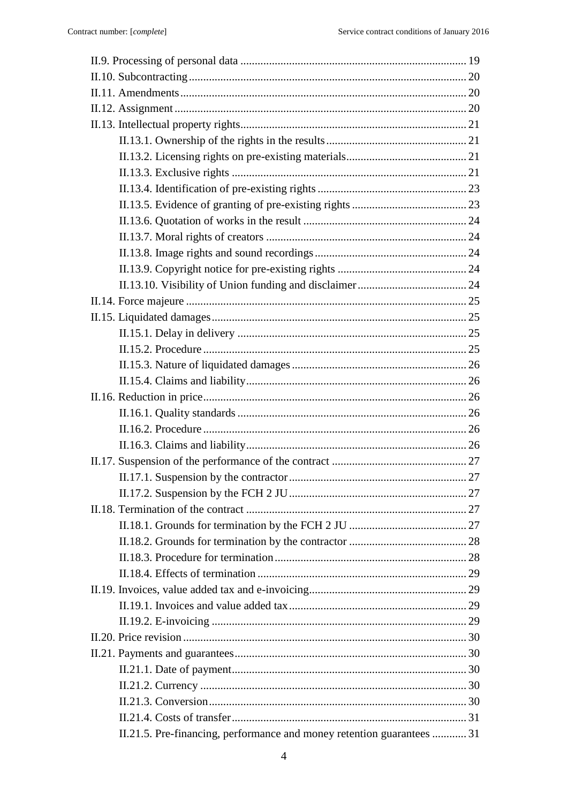| II.21.5. Pre-financing, performance and money retention guarantees  31 |  |
|------------------------------------------------------------------------|--|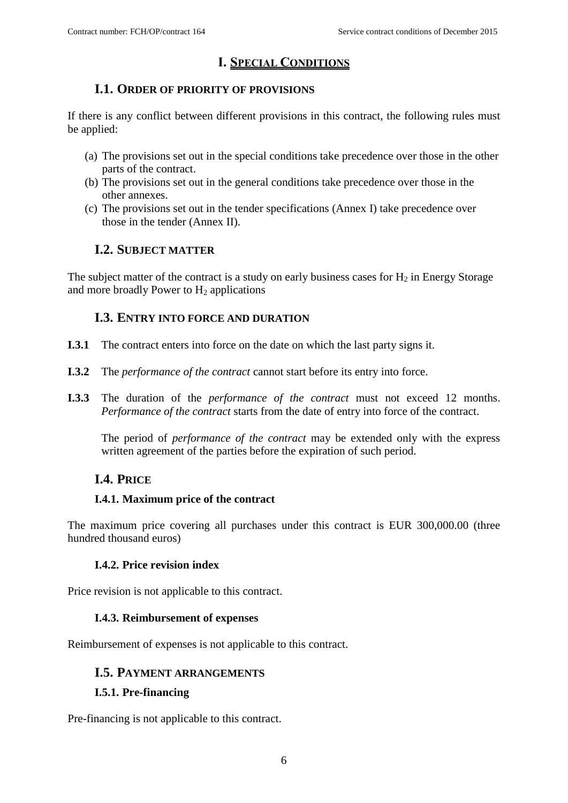# **I. SPECIAL CONDITIONS**

### <span id="page-5-1"></span><span id="page-5-0"></span>**I.1. ORDER OF PRIORITY OF PROVISIONS**

If there is any conflict between different provisions in this contract, the following rules must be applied:

- (a) The provisions set out in the special conditions take precedence over those in the other parts of the contract.
- (b) The provisions set out in the general conditions take precedence over those in the other annexes.
- (c) The provisions set out in the tender specifications (Annex I) take precedence over those in the tender (Annex II).

## **I.2. SUBJECT MATTER**

<span id="page-5-2"></span>The subject matter of the contract is a study on early business cases for  $H_2$  in Energy Storage and more broadly Power to  $H_2$  applications

## **I.3. ENTRY INTO FORCE AND DURATION**

- <span id="page-5-3"></span>**I.3.1** The contract enters into force on the date on which the last party signs it.
- **I.3.2** The *performance of the contract* cannot start before its entry into force.
- **I.3.3** The duration of the *performance of the contract* must not exceed 12 months. *Performance of the contract* starts from the date of entry into force of the contract.

The period of *performance of the contract* may be extended only with the express written agreement of the parties before the expiration of such period.

# <span id="page-5-4"></span>**I.4. PRICE**

### <span id="page-5-5"></span>**I.4.1. Maximum price of the contract**

The maximum price covering all purchases under this contract is EUR 300,000.00 (three hundred thousand euros)

### **I.4.2. Price revision index**

<span id="page-5-7"></span><span id="page-5-6"></span>Price revision is not applicable to this contract.

#### **I.4.3. Reimbursement of expenses**

<span id="page-5-8"></span>Reimbursement of expenses is not applicable to this contract.

#### **I.5. PAYMENT ARRANGEMENTS**

#### <span id="page-5-9"></span>**I.5.1. Pre-financing**

Pre-financing is not applicable to this contract.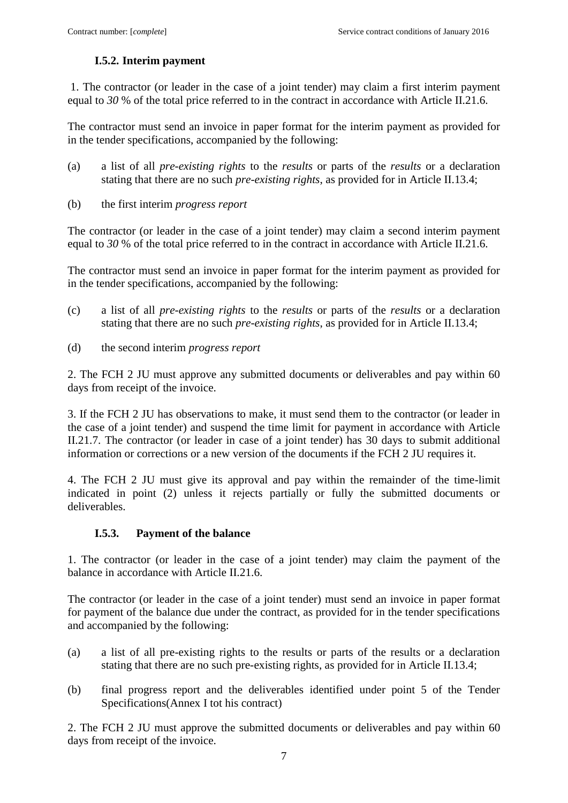## **I.5.2. Interim payment**

<span id="page-6-0"></span>1. The contractor (or leader in the case of a joint tender) may claim a first interim payment equal to *30* % of the total price referred to in the contract in accordance with Article II.21.6.

The contractor must send an invoice in paper format for the interim payment as provided for in the tender specifications, accompanied by the following:

- (a) a list of all *pre-existing rights* to the *results* or parts of the *results* or a declaration stating that there are no such *pre-existing rights*, as provided for in Article II.13.4;
- (b) the first interim *progress report*

The contractor (or leader in the case of a joint tender) may claim a second interim payment equal to 30 % of the total price referred to in the contract in accordance with Article II.21.6.

The contractor must send an invoice in paper format for the interim payment as provided for in the tender specifications, accompanied by the following:

- (c) a list of all *pre-existing rights* to the *results* or parts of the *results* or a declaration stating that there are no such *pre-existing rights*, as provided for in Article II.13.4;
- (d) the second interim *progress report*

2. The FCH 2 JU must approve any submitted documents or deliverables and pay within 60 days from receipt of the invoice.

3. If the FCH 2 JU has observations to make, it must send them to the contractor (or leader in the case of a joint tender) and suspend the time limit for payment in accordance with Article II.21.7. The contractor (or leader in case of a joint tender) has 30 days to submit additional information or corrections or a new version of the documents if the FCH 2 JU requires it.

4. The FCH 2 JU must give its approval and pay within the remainder of the time-limit indicated in point (2) unless it rejects partially or fully the submitted documents or deliverables.

### <span id="page-6-1"></span>**I.5.3. Payment of the balance**

1. The contractor (or leader in the case of a joint tender) may claim the payment of the balance in accordance with Article II.21.6.

The contractor (or leader in the case of a joint tender) must send an invoice in paper format for payment of the balance due under the contract, as provided for in the tender specifications and accompanied by the following:

- (a) a list of all pre-existing rights to the results or parts of the results or a declaration stating that there are no such pre-existing rights, as provided for in Article II.13.4;
- (b) final progress report and the deliverables identified under point 5 of the Tender Specifications(Annex I tot his contract)

2. The FCH 2 JU must approve the submitted documents or deliverables and pay within 60 days from receipt of the invoice.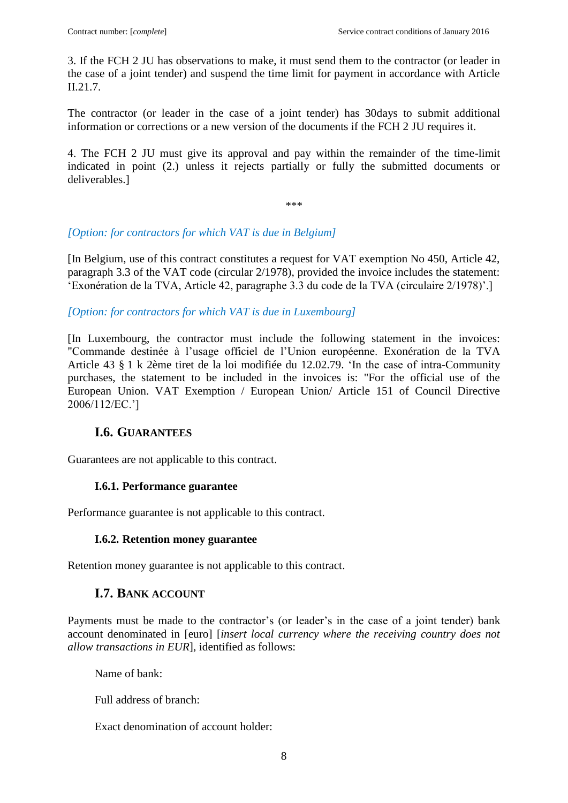3. If the FCH 2 JU has observations to make, it must send them to the contractor (or leader in the case of a joint tender) and suspend the time limit for payment in accordance with Article II.21.7.

The contractor (or leader in the case of a joint tender) has 30days to submit additional information or corrections or a new version of the documents if the FCH 2 JU requires it.

4. The FCH 2 JU must give its approval and pay within the remainder of the time-limit indicated in point (2.) unless it rejects partially or fully the submitted documents or deliverables.]

\*\*\*

### *[Option: for contractors for which VAT is due in Belgium]*

[In Belgium, use of this contract constitutes a request for VAT exemption No 450, Article 42, paragraph 3.3 of the VAT code (circular 2/1978), provided the invoice includes the statement: 'Exonération de la TVA, Article 42, paragraphe 3.3 du code de la TVA (circulaire 2/1978)'.]

### *[Option: for contractors for which VAT is due in Luxembourg]*

[In Luxembourg, the contractor must include the following statement in the invoices: "Commande destinée à l'usage officiel de l'Union européenne. Exonération de la TVA Article 43 § 1 k 2ème tiret de la loi modifiée du 12.02.79. 'In the case of intra-Community purchases, the statement to be included in the invoices is: "For the official use of the European Union. VAT Exemption / European Union/ Article 151 of Council Directive 2006/112/EC.']

### **I.6. GUARANTEES**

<span id="page-7-1"></span><span id="page-7-0"></span>Guarantees are not applicable to this contract.

#### **I.6.1. Performance guarantee**

<span id="page-7-2"></span>Performance guarantee is not applicable to this contract.

#### **I.6.2. Retention money guarantee**

<span id="page-7-3"></span>Retention money guarantee is not applicable to this contract.

### **I.7. BANK ACCOUNT**

Payments must be made to the contractor's (or leader's in the case of a joint tender) bank account denominated in [euro] [*insert local currency where the receiving country does not allow transactions in EUR*], identified as follows:

Name of bank:

Full address of branch:

Exact denomination of account holder: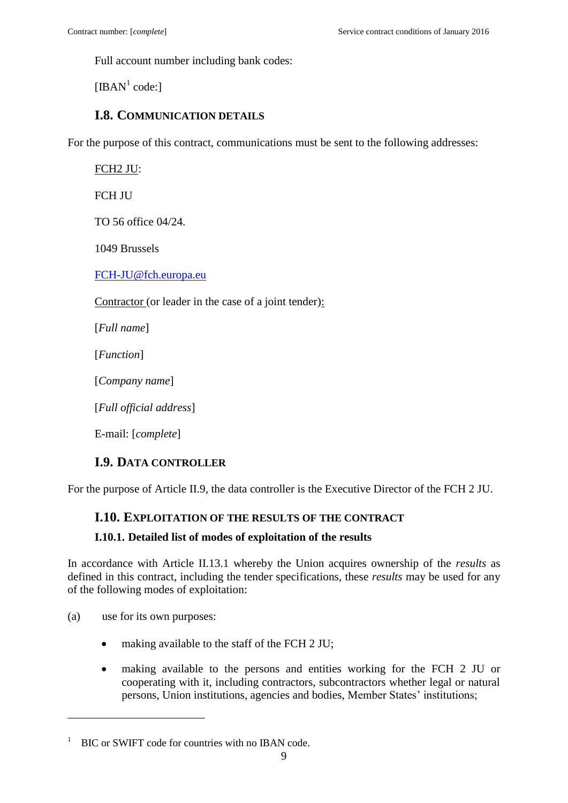Full account number including bank codes:

[IBAN $<sup>1</sup>$  code:]</sup>

## **I.8. COMMUNICATION DETAILS**

<span id="page-8-0"></span>For the purpose of this contract, communications must be sent to the following addresses:

FCH2 JU: FCH JU TO 56 office 04/24. 1049 Brussels

[FCH-JU@fch.europa.eu](mailto:FCH-JU@fch.europa.eu)

Contractor (or leader in the case of a joint tender):

[*Full name*]

[*Function*]

[*Company name*]

[*Full official address*]

E-mail: [*complete*]

## **I.9. DATA CONTROLLER**

<span id="page-8-2"></span><span id="page-8-1"></span>For the purpose of Article II.9, the data controller is the Executive Director of the FCH 2 JU.

## **I.10. EXPLOITATION OF THE RESULTS OF THE CONTRACT**

### <span id="page-8-3"></span>**I.10.1. Detailed list of modes of exploitation of the results**

In accordance with Article II.13.1 whereby the Union acquires ownership of the *results* as defined in this contract, including the tender specifications, these *results* may be used for any of the following modes of exploitation:

(a) use for its own purposes:

 $\overline{a}$ 

- making available to the staff of the FCH 2 JU;
- making available to the persons and entities working for the FCH 2 JU or cooperating with it, including contractors, subcontractors whether legal or natural persons, Union institutions, agencies and bodies, Member States' institutions;

 $1$  BIC or SWIFT code for countries with no IBAN code.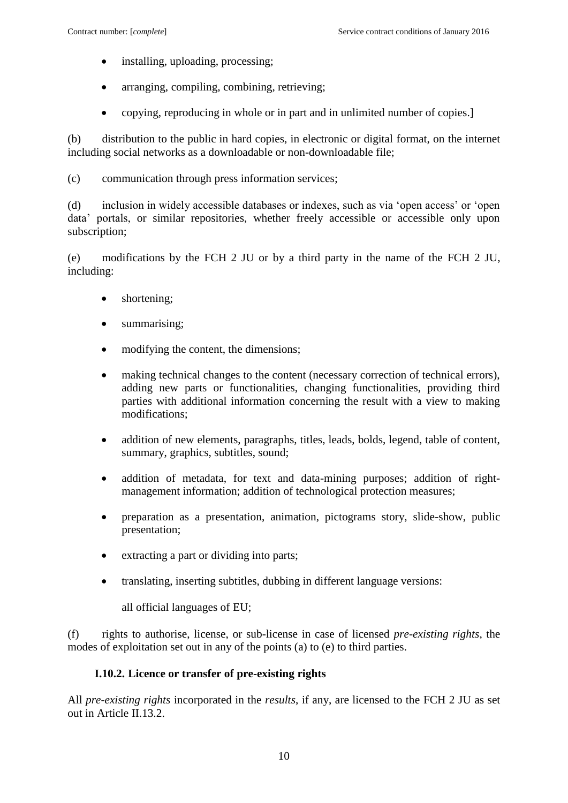- installing, uploading, processing;
- arranging, compiling, combining, retrieving;
- copying, reproducing in whole or in part and in unlimited number of copies.]

(b) distribution to the public in hard copies, in electronic or digital format, on the internet including social networks as a downloadable or non-downloadable file;

(c) communication through press information services;

(d) inclusion in widely accessible databases or indexes, such as via 'open access' or 'open data' portals, or similar repositories, whether freely accessible or accessible only upon subscription;

(e) modifications by the FCH 2 JU or by a third party in the name of the FCH 2 JU, including:

- shortening;
- summarising;
- modifying the content, the dimensions;
- making technical changes to the content (necessary correction of technical errors), adding new parts or functionalities, changing functionalities, providing third parties with additional information concerning the result with a view to making modifications;
- addition of new elements, paragraphs, titles, leads, bolds, legend, table of content, summary, graphics, subtitles, sound;
- addition of metadata, for text and data-mining purposes; addition of rightmanagement information; addition of technological protection measures;
- preparation as a presentation, animation, pictograms story, slide-show, public presentation;
- extracting a part or dividing into parts;
- translating, inserting subtitles, dubbing in different language versions:

all official languages of EU;

(f) rights to authorise, license, or sub-license in case of licensed *pre-existing rights*, the modes of exploitation set out in any of the points (a) to (e) to third parties.

#### **I.10.2. Licence or transfer of pre-existing rights**

<span id="page-9-0"></span>All *pre-existing rights* incorporated in the *results*, if any, are licensed to the FCH 2 JU as set out in Article II.13.2.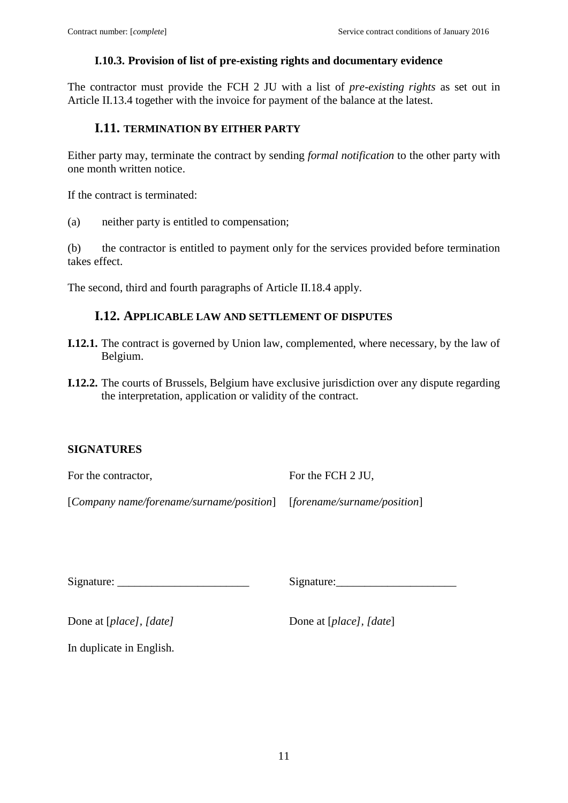#### **I.10.3. Provision of list of pre-existing rights and documentary evidence**

<span id="page-10-0"></span>The contractor must provide the FCH 2 JU with a list of *pre-existing rights* as set out in Article II.13.4 together with the invoice for payment of the balance at the latest.

### <span id="page-10-1"></span>**I.11. TERMINATION BY EITHER PARTY**

Either party may, terminate the contract by sending *formal notification* to the other party with one month written notice.

If the contract is terminated:

(a) neither party is entitled to compensation;

(b) the contractor is entitled to payment only for the services provided before termination takes effect.

<span id="page-10-2"></span>The second, third and fourth paragraphs of Article II.18.4 apply.

#### **I.12. APPLICABLE LAW AND SETTLEMENT OF DISPUTES**

- **I.12.1.** The contract is governed by Union law, complemented, where necessary, by the law of Belgium.
- **I.12.2.** The courts of Brussels, Belgium have exclusive jurisdiction over any dispute regarding the interpretation, application or validity of the contract.

#### **SIGNATURES**

For the contractor,

For the FCH 2 JU,

[*Company name/forename/surname/position*]

[*forename/surname/position*]

Signature:

Signature:

Done at [*place*], [*date*] Done at [*place*], [*date*]

In duplicate in English.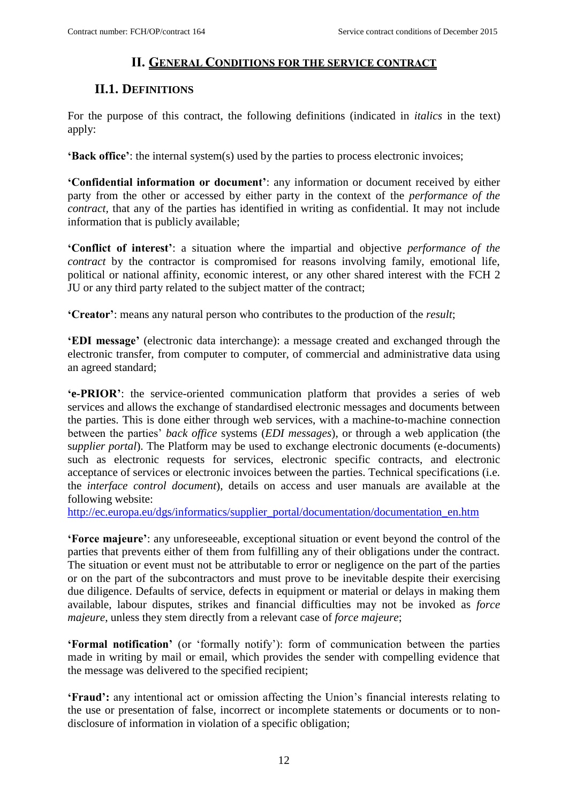## **II. GENERAL CONDITIONS FOR THE SERVICE CONTRACT**

## <span id="page-11-0"></span>**II.1. DEFINITIONS**

<span id="page-11-1"></span>For the purpose of this contract, the following definitions (indicated in *italics* in the text) apply:

**'Back office'**: the internal system(s) used by the parties to process electronic invoices;

**'Confidential information or document'**: any information or document received by either party from the other or accessed by either party in the context of the *performance of the contract,* that any of the parties has identified in writing as confidential. It may not include information that is publicly available;

**'Conflict of interest'**: a situation where the impartial and objective *performance of the contract* by the contractor is compromised for reasons involving family, emotional life, political or national affinity, economic interest, or any other shared interest with the FCH 2 JU or any third party related to the subject matter of the contract;

**'Creator'**: means any natural person who contributes to the production of the *result*;

**'EDI message'** (electronic data interchange): a message created and exchanged through the electronic transfer, from computer to computer, of commercial and administrative data using an agreed standard;

**'e-PRIOR'**: the service-oriented communication platform that provides a series of web services and allows the exchange of standardised electronic messages and documents between the parties. This is done either through web services, with a machine-to-machine connection between the parties' *back office* systems (*EDI messages*), or through a web application (the s*upplier portal*). The Platform may be used to exchange electronic documents (e-documents) such as electronic requests for services, electronic specific contracts, and electronic acceptance of services or electronic invoices between the parties. Technical specifications (i.e. the *interface control document*), details on access and user manuals are available at the following website:

[http://ec.europa.eu/dgs/informatics/supplier\\_portal/documentation/documentation\\_en.htm](http://ec.europa.eu/dgs/informatics/supplier_portal/documentation/documentation_en.htm)

**'Force majeure'**: any unforeseeable, exceptional situation or event beyond the control of the parties that prevents either of them from fulfilling any of their obligations under the contract. The situation or event must not be attributable to error or negligence on the part of the parties or on the part of the subcontractors and must prove to be inevitable despite their exercising due diligence. Defaults of service, defects in equipment or material or delays in making them available, labour disputes, strikes and financial difficulties may not be invoked as *force majeure*, unless they stem directly from a relevant case of *force majeure*;

**'Formal notification'** (or 'formally notify'): form of communication between the parties made in writing by mail or email, which provides the sender with compelling evidence that the message was delivered to the specified recipient;

**'Fraud':** any intentional act or omission affecting the Union's financial interests relating to the use or presentation of false, incorrect or incomplete statements or documents or to nondisclosure of information in violation of a specific obligation;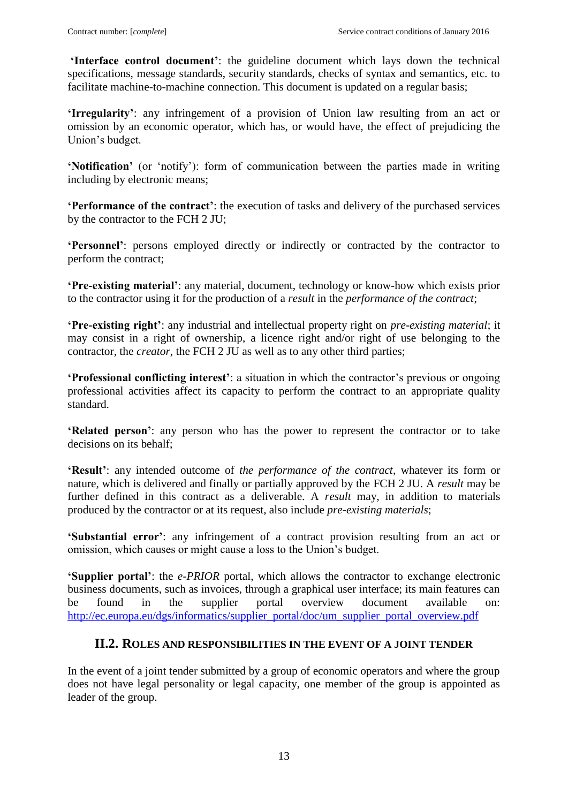**'Interface control document'**: the guideline document which lays down the technical specifications, message standards, security standards, checks of syntax and semantics, etc. to facilitate machine-to-machine connection. This document is updated on a regular basis;

**'Irregularity'**: any infringement of a provision of Union law resulting from an act or omission by an economic operator, which has, or would have, the effect of prejudicing the Union's budget.

'Notification' (or 'notify'): form of communication between the parties made in writing including by electronic means;

**'Performance of the contract'**: the execution of tasks and delivery of the purchased services by the contractor to the FCH 2 JU;

**'Personnel'**: persons employed directly or indirectly or contracted by the contractor to perform the contract;

**'Pre-existing material'**: any material, document, technology or know-how which exists prior to the contractor using it for the production of a *result* in the *performance of the contract*;

**'Pre-existing right'**: any industrial and intellectual property right on *pre-existing material*; it may consist in a right of ownership, a licence right and/or right of use belonging to the contractor, the *creator*, the FCH 2 JU as well as to any other third parties;

**'Professional conflicting interest'**: a situation in which the contractor's previous or ongoing professional activities affect its capacity to perform the contract to an appropriate quality standard.

**'Related person'**: any person who has the power to represent the contractor or to take decisions on its behalf;

**'Result'**: any intended outcome of *the performance of the contract*, whatever its form or nature, which is delivered and finally or partially approved by the FCH 2 JU. A *result* may be further defined in this contract as a deliverable. A *result* may, in addition to materials produced by the contractor or at its request, also include *pre-existing materials*;

**'Substantial error'**: any infringement of a contract provision resulting from an act or omission, which causes or might cause a loss to the Union's budget.

**'Supplier portal'**: the *e-PRIOR* portal, which allows the contractor to exchange electronic business documents, such as invoices, through a graphical user interface; its main features can be found in the supplier portal overview document available on: [http://ec.europa.eu/dgs/informatics/supplier\\_portal/doc/um\\_supplier\\_portal\\_overview.pdf](http://ec.europa.eu/dgs/informatics/supplier_portal/doc/um_supplier_portal_overview.pdf)

### **II.2. ROLES AND RESPONSIBILITIES IN THE EVENT OF A JOINT TENDER**

<span id="page-12-0"></span>In the event of a joint tender submitted by a group of economic operators and where the group does not have legal personality or legal capacity, one member of the group is appointed as leader of the group.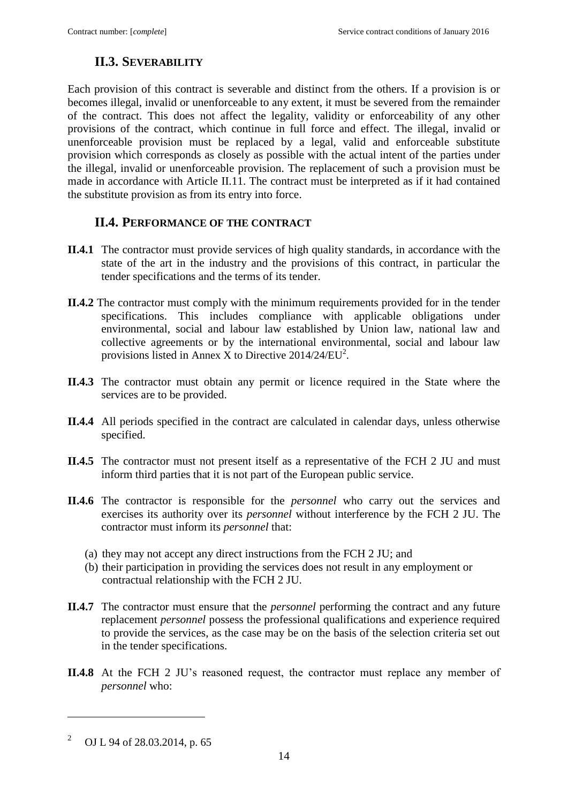## **II.3. SEVERABILITY**

<span id="page-13-0"></span>Each provision of this contract is severable and distinct from the others. If a provision is or becomes illegal, invalid or unenforceable to any extent, it must be severed from the remainder of the contract. This does not affect the legality, validity or enforceability of any other provisions of the contract, which continue in full force and effect. The illegal, invalid or unenforceable provision must be replaced by a legal, valid and enforceable substitute provision which corresponds as closely as possible with the actual intent of the parties under the illegal, invalid or unenforceable provision. The replacement of such a provision must be made in accordance with Article II.11. The contract must be interpreted as if it had contained the substitute provision as from its entry into force.

### **II.4. PERFORMANCE OF THE CONTRACT**

- <span id="page-13-1"></span>**II.4.1** The contractor must provide services of high quality standards, in accordance with the state of the art in the industry and the provisions of this contract, in particular the tender specifications and the terms of its tender.
- **II.4.2** The contractor must comply with the minimum requirements provided for in the tender specifications. This includes compliance with applicable obligations under environmental, social and labour law established by Union law, national law and collective agreements or by the international environmental, social and labour law provisions listed in Annex X to Directive  $2014/24/EU^2$ .
- **II.4.3** The contractor must obtain any permit or licence required in the State where the services are to be provided.
- **II.4.4** All periods specified in the contract are calculated in calendar days, unless otherwise specified.
- **II.4.5** The contractor must not present itself as a representative of the FCH 2 JU and must inform third parties that it is not part of the European public service.
- **II.4.6** The contractor is responsible for the *personnel* who carry out the services and exercises its authority over its *personnel* without interference by the FCH 2 JU. The contractor must inform its *personnel* that:
	- (a) they may not accept any direct instructions from the FCH 2 JU; and
	- (b) their participation in providing the services does not result in any employment or contractual relationship with the FCH 2 JU.
- **II.4.7** The contractor must ensure that the *personnel* performing the contract and any future replacement *personnel* possess the professional qualifications and experience required to provide the services, as the case may be on the basis of the selection criteria set out in the tender specifications.
- **II.4.8** At the FCH 2 JU's reasoned request, the contractor must replace any member of *personnel* who:

 $\overline{a}$ 

<sup>2</sup> OJ L 94 of 28.03.2014, p. 65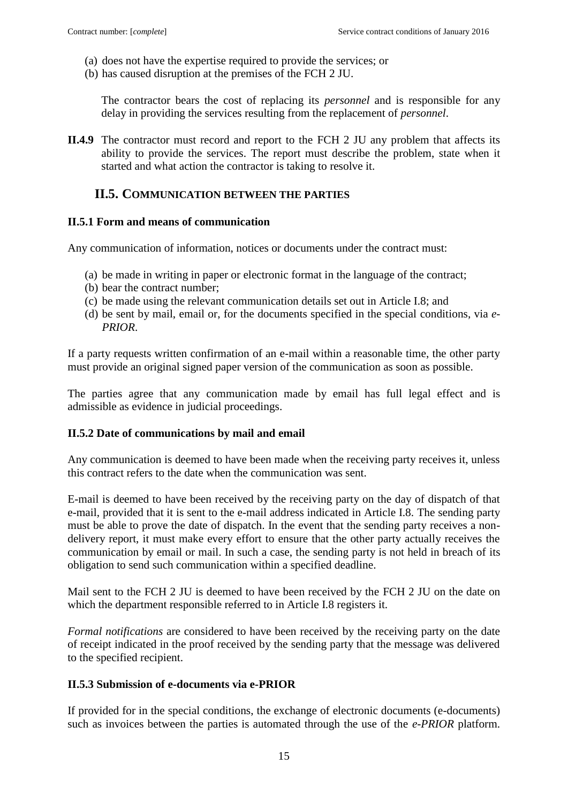- (a) does not have the expertise required to provide the services; or
- (b) has caused disruption at the premises of the FCH 2 JU.

The contractor bears the cost of replacing its *personnel* and is responsible for any delay in providing the services resulting from the replacement of *personnel*.

**II.4.9** The contractor must record and report to the FCH 2 JU any problem that affects its ability to provide the services. The report must describe the problem, state when it started and what action the contractor is taking to resolve it.

### **II.5. COMMUNICATION BETWEEN THE PARTIES**

#### <span id="page-14-1"></span><span id="page-14-0"></span>**II.5.1 Form and means of communication**

Any communication of information, notices or documents under the contract must:

- (a) be made in writing in paper or electronic format in the language of the contract;
- (b) bear the contract number;
- (c) be made using the relevant communication details set out in Article I.8; and
- (d) be sent by mail, email or, for the documents specified in the special conditions, via *e-PRIOR*.

If a party requests written confirmation of an e-mail within a reasonable time, the other party must provide an original signed paper version of the communication as soon as possible.

The parties agree that any communication made by email has full legal effect and is admissible as evidence in judicial proceedings.

#### <span id="page-14-2"></span>**II.5.2 Date of communications by mail and email**

Any communication is deemed to have been made when the receiving party receives it, unless this contract refers to the date when the communication was sent.

E-mail is deemed to have been received by the receiving party on the day of dispatch of that e-mail, provided that it is sent to the e-mail address indicated in Article I.8. The sending party must be able to prove the date of dispatch. In the event that the sending party receives a nondelivery report, it must make every effort to ensure that the other party actually receives the communication by email or mail. In such a case, the sending party is not held in breach of its obligation to send such communication within a specified deadline.

Mail sent to the FCH 2 JU is deemed to have been received by the FCH 2 JU on the date on which the department responsible referred to in Article I.8 registers it.

*Formal notifications* are considered to have been received by the receiving party on the date of receipt indicated in the proof received by the sending party that the message was delivered to the specified recipient.

#### <span id="page-14-3"></span>**II.5.3 Submission of e-documents via e-PRIOR**

If provided for in the special conditions, the exchange of electronic documents (e-documents) such as invoices between the parties is automated through the use of the *e-PRIOR* platform.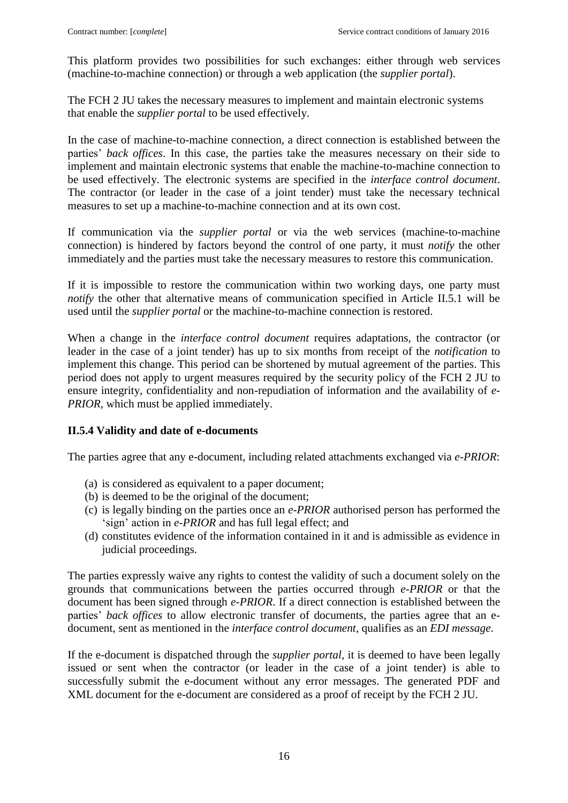This platform provides two possibilities for such exchanges: either through web services (machine-to-machine connection) or through a web application (the *supplier portal*).

The FCH 2 JU takes the necessary measures to implement and maintain electronic systems that enable the *supplier portal* to be used effectively.

In the case of machine-to-machine connection, a direct connection is established between the parties' *back offices*. In this case, the parties take the measures necessary on their side to implement and maintain electronic systems that enable the machine-to-machine connection to be used effectively. The electronic systems are specified in the *interface control document*. The contractor (or leader in the case of a joint tender) must take the necessary technical measures to set up a machine-to-machine connection and at its own cost.

If communication via the *supplier portal* or via the web services (machine-to-machine connection) is hindered by factors beyond the control of one party, it must *notify* the other immediately and the parties must take the necessary measures to restore this communication.

If it is impossible to restore the communication within two working days, one party must *notify* the other that alternative means of communication specified in Article II.5.1 will be used until the *supplier portal* or the machine-to-machine connection is restored.

When a change in the *interface control document* requires adaptations, the contractor (or leader in the case of a joint tender) has up to six months from receipt of the *notification* to implement this change. This period can be shortened by mutual agreement of the parties. This period does not apply to urgent measures required by the security policy of the FCH 2 JU to ensure integrity, confidentiality and non-repudiation of information and the availability of *e-PRIOR*, which must be applied immediately.

### <span id="page-15-0"></span>**II.5.4 Validity and date of e-documents**

The parties agree that any e-document, including related attachments exchanged via *e-PRIOR*:

- (a) is considered as equivalent to a paper document;
- (b) is deemed to be the original of the document;
- (c) is legally binding on the parties once an *e-PRIOR* authorised person has performed the 'sign' action in *e-PRIOR* and has full legal effect; and
- (d) constitutes evidence of the information contained in it and is admissible as evidence in judicial proceedings.

The parties expressly waive any rights to contest the validity of such a document solely on the grounds that communications between the parties occurred through *e-PRIOR* or that the document has been signed through *e-PRIOR*. If a direct connection is established between the parties' *back offices* to allow electronic transfer of documents, the parties agree that an edocument, sent as mentioned in the *interface control document*, qualifies as an *EDI message*.

If the e-document is dispatched through the *supplier portal*, it is deemed to have been legally issued or sent when the contractor (or leader in the case of a joint tender) is able to successfully submit the e-document without any error messages. The generated PDF and XML document for the e-document are considered as a proof of receipt by the FCH 2 JU.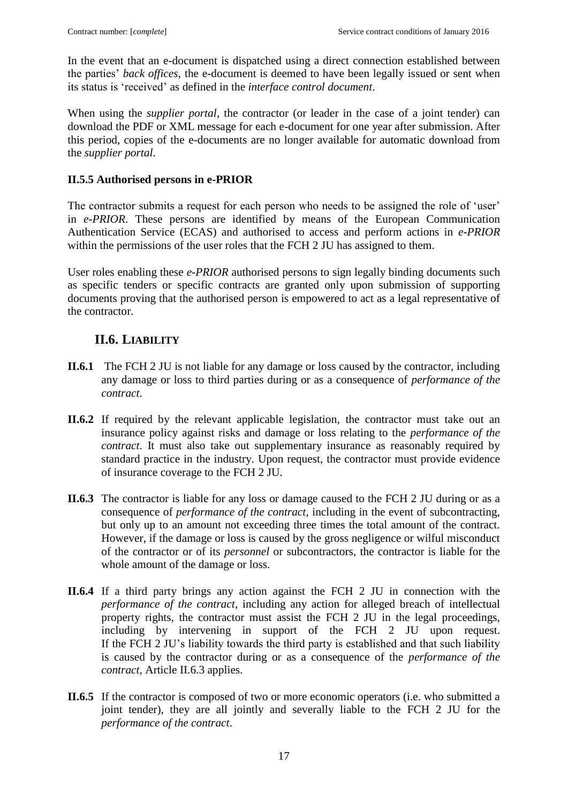In the event that an e-document is dispatched using a direct connection established between the parties' *back offices*, the e-document is deemed to have been legally issued or sent when its status is 'received' as defined in the *interface control document*.

When using the *supplier portal*, the contractor (or leader in the case of a joint tender) can download the PDF or XML message for each e-document for one year after submission. After this period, copies of the e-documents are no longer available for automatic download from the *supplier portal*.

#### <span id="page-16-0"></span>**II.5.5 Authorised persons in e-PRIOR**

The contractor submits a request for each person who needs to be assigned the role of 'user' in *e-PRIOR*. These persons are identified by means of the European Communication Authentication Service (ECAS) and authorised to access and perform actions in *e-PRIOR* within the permissions of the user roles that the FCH 2 JU has assigned to them.

User roles enabling these *e-PRIOR* authorised persons to sign legally binding documents such as specific tenders or specific contracts are granted only upon submission of supporting documents proving that the authorised person is empowered to act as a legal representative of the contractor.

## **II.6. LIABILITY**

- <span id="page-16-1"></span>**II.6.1** The FCH 2 JU is not liable for any damage or loss caused by the contractor, including any damage or loss to third parties during or as a consequence of *performance of the contract*.
- **II.6.2** If required by the relevant applicable legislation, the contractor must take out an insurance policy against risks and damage or loss relating to the *performance of the contract*. It must also take out supplementary insurance as reasonably required by standard practice in the industry. Upon request, the contractor must provide evidence of insurance coverage to the FCH 2 JU.
- **II.6.3** The contractor is liable for any loss or damage caused to the FCH 2 JU during or as a consequence of *performance of the contract*, including in the event of subcontracting, but only up to an amount not exceeding three times the total amount of the contract. However, if the damage or loss is caused by the gross negligence or wilful misconduct of the contractor or of its *personnel* or subcontractors, the contractor is liable for the whole amount of the damage or loss.
- **II.6.4** If a third party brings any action against the FCH 2 JU in connection with the *performance of the contract*, including any action for alleged breach of intellectual property rights, the contractor must assist the FCH 2 JU in the legal proceedings, including by intervening in support of the FCH 2 JU upon request. If the FCH 2 JU's liability towards the third party is established and that such liability is caused by the contractor during or as a consequence of the *performance of the contract*, Article II.6.3 applies.
- **II.6.5** If the contractor is composed of two or more economic operators (i.e. who submitted a joint tender), they are all jointly and severally liable to the FCH 2 JU for the *performance of the contract*.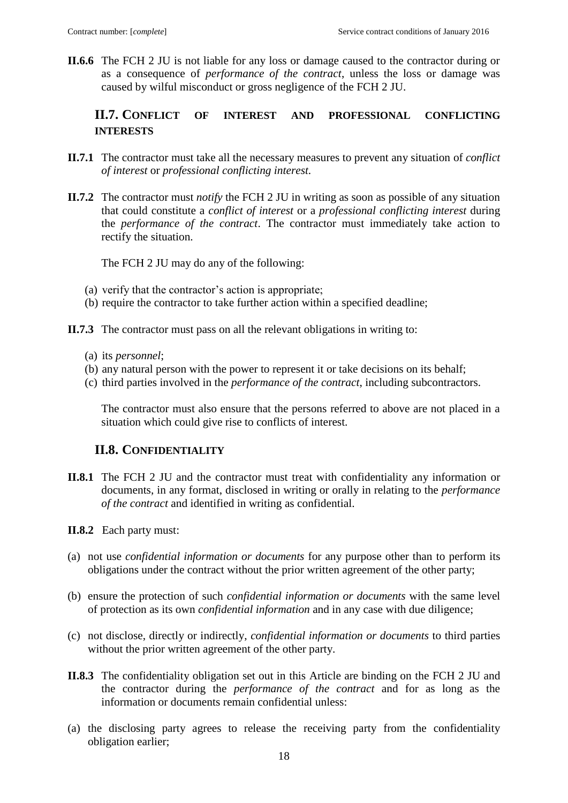**II.6.6** The FCH 2 JU is not liable for any loss or damage caused to the contractor during or as a consequence of *performance of the contract*, unless the loss or damage was caused by wilful misconduct or gross negligence of the FCH 2 JU.

### <span id="page-17-0"></span>**II.7. CONFLICT OF INTEREST AND PROFESSIONAL CONFLICTING INTERESTS**

- **II.7.1** The contractor must take all the necessary measures to prevent any situation of *conflict of interest* or *professional conflicting interest.*
- **II.7.2** The contractor must *notify* the FCH 2 JU in writing as soon as possible of any situation that could constitute a *conflict of interest* or a *professional conflicting interest* during the *performance of the contract*. The contractor must immediately take action to rectify the situation.

The FCH 2 JU may do any of the following:

- (a) verify that the contractor's action is appropriate;
- (b) require the contractor to take further action within a specified deadline;

**II.7.3** The contractor must pass on all the relevant obligations in writing to:

- (a) its *personnel*;
- (b) any natural person with the power to represent it or take decisions on its behalf;
- (c) third parties involved in the *performance of the contract*, including subcontractors.

The contractor must also ensure that the persons referred to above are not placed in a situation which could give rise to conflicts of interest.

### **II.8. CONFIDENTIALITY**

- <span id="page-17-1"></span>**II.8.1** The FCH 2 JU and the contractor must treat with confidentiality any information or documents, in any format, disclosed in writing or orally in relating to the *performance of the contract* and identified in writing as confidential.
- **II.8.2** Each party must:
- (a) not use *confidential information or documents* for any purpose other than to perform its obligations under the contract without the prior written agreement of the other party;
- (b) ensure the protection of such *confidential information or documents* with the same level of protection as its own *confidential information* and in any case with due diligence;
- (c) not disclose, directly or indirectly, *confidential information or documents* to third parties without the prior written agreement of the other party.
- **II.8.3** The confidentiality obligation set out in this Article are binding on the FCH 2 JU and the contractor during the *performance of the contract* and for as long as the information or documents remain confidential unless:
- (a) the disclosing party agrees to release the receiving party from the confidentiality obligation earlier;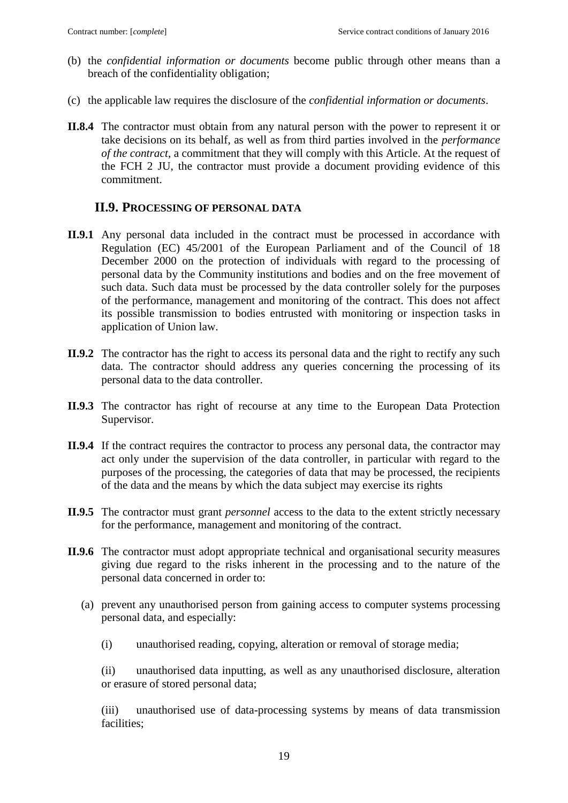- (b) the *confidential information or documents* become public through other means than a breach of the confidentiality obligation;
- (c) the applicable law requires the disclosure of the *confidential information or documents*.
- **II.8.4** The contractor must obtain from any natural person with the power to represent it or take decisions on its behalf, as well as from third parties involved in the *performance of the contract*, a commitment that they will comply with this Article. At the request of the FCH 2 JU, the contractor must provide a document providing evidence of this commitment.

#### **II.9. PROCESSING OF PERSONAL DATA**

- <span id="page-18-0"></span>**II.9.1** Any personal data included in the contract must be processed in accordance with Regulation (EC) 45/2001 of the European Parliament and of the Council of 18 December 2000 on the protection of individuals with regard to the processing of personal data by the Community institutions and bodies and on the free movement of such data. Such data must be processed by the data controller solely for the purposes of the performance, management and monitoring of the contract. This does not affect its possible transmission to bodies entrusted with monitoring or inspection tasks in application of Union law.
- **II.9.2** The contractor has the right to access its personal data and the right to rectify any such data. The contractor should address any queries concerning the processing of its personal data to the data controller.
- **II.9.3** The contractor has right of recourse at any time to the European Data Protection Supervisor.
- **II.9.4** If the contract requires the contractor to process any personal data, the contractor may act only under the supervision of the data controller, in particular with regard to the purposes of the processing, the categories of data that may be processed, the recipients of the data and the means by which the data subject may exercise its rights
- **II.9.5** The contractor must grant *personnel* access to the data to the extent strictly necessary for the performance, management and monitoring of the contract.
- **II.9.6** The contractor must adopt appropriate technical and organisational security measures giving due regard to the risks inherent in the processing and to the nature of the personal data concerned in order to:
	- (a) prevent any unauthorised person from gaining access to computer systems processing personal data, and especially:
		- (i) unauthorised reading, copying, alteration or removal of storage media;

(ii) unauthorised data inputting, as well as any unauthorised disclosure, alteration or erasure of stored personal data;

(iii) unauthorised use of data-processing systems by means of data transmission facilities;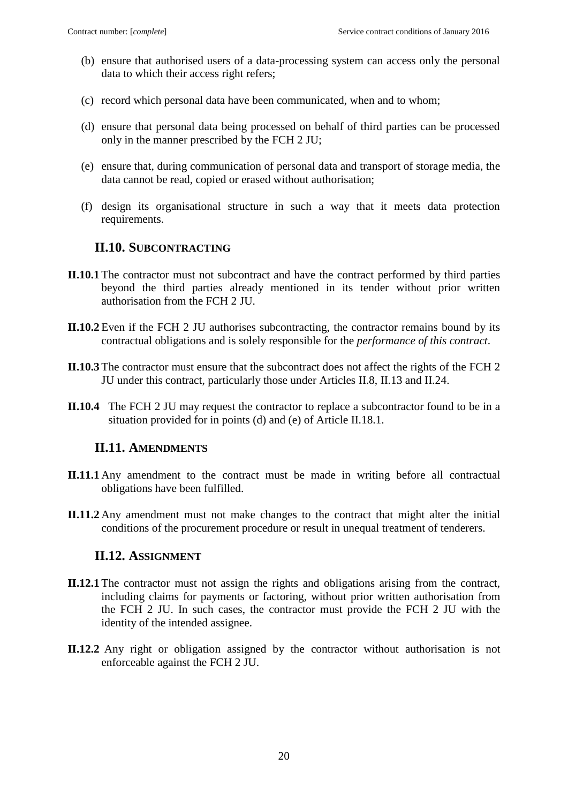- (b) ensure that authorised users of a data-processing system can access only the personal data to which their access right refers;
- (c) record which personal data have been communicated, when and to whom;
- (d) ensure that personal data being processed on behalf of third parties can be processed only in the manner prescribed by the FCH 2 JU;
- (e) ensure that, during communication of personal data and transport of storage media, the data cannot be read, copied or erased without authorisation;
- (f) design its organisational structure in such a way that it meets data protection requirements.

### <span id="page-19-0"></span>**II.10. SUBCONTRACTING**

- **II.10.1** The contractor must not subcontract and have the contract performed by third parties beyond the third parties already mentioned in its tender without prior written authorisation from the FCH 2 JU.
- **II.10.2** Even if the FCH 2 JU authorises subcontracting, the contractor remains bound by its contractual obligations and is solely responsible for the *performance of this contract*.
- **II.10.3** The contractor must ensure that the subcontract does not affect the rights of the FCH 2 JU under this contract, particularly those under Articles II.8, II.13 and II.24.
- **II.10.4** The FCH 2 JU may request the contractor to replace a subcontractor found to be in a situation provided for in points (d) and (e) of Article II.18.1.

#### **II.11. AMENDMENTS**

- <span id="page-19-1"></span>**II.11.1** Any amendment to the contract must be made in writing before all contractual obligations have been fulfilled.
- **II.11.2** Any amendment must not make changes to the contract that might alter the initial conditions of the procurement procedure or result in unequal treatment of tenderers.

#### **II.12. ASSIGNMENT**

- <span id="page-19-2"></span>**II.12.1** The contractor must not assign the rights and obligations arising from the contract, including claims for payments or factoring, without prior written authorisation from the FCH 2 JU. In such cases, the contractor must provide the FCH 2 JU with the identity of the intended assignee.
- **II.12.2** Any right or obligation assigned by the contractor without authorisation is not enforceable against the FCH 2 JU.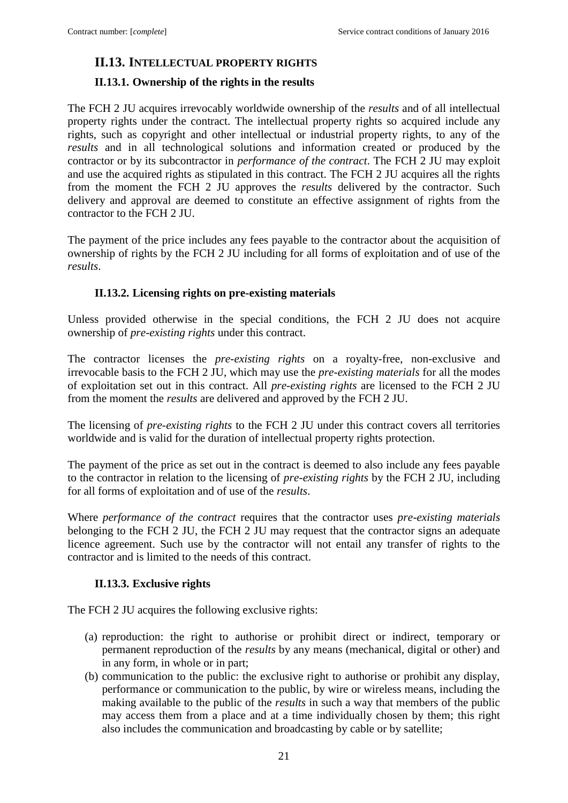### <span id="page-20-0"></span>**II.13. INTELLECTUAL PROPERTY RIGHTS**

#### <span id="page-20-1"></span>**II.13.1. Ownership of the rights in the results**

The FCH 2 JU acquires irrevocably worldwide ownership of the *results* and of all intellectual property rights under the contract. The intellectual property rights so acquired include any rights, such as copyright and other intellectual or industrial property rights, to any of the *results* and in all technological solutions and information created or produced by the contractor or by its subcontractor in *performance of the contract*. The FCH 2 JU may exploit and use the acquired rights as stipulated in this contract. The FCH 2 JU acquires all the rights from the moment the FCH 2 JU approves the *results* delivered by the contractor. Such delivery and approval are deemed to constitute an effective assignment of rights from the contractor to the FCH 2 JU.

The payment of the price includes any fees payable to the contractor about the acquisition of ownership of rights by the FCH 2 JU including for all forms of exploitation and of use of the *results*.

#### **II.13.2. Licensing rights on pre-existing materials**

<span id="page-20-2"></span>Unless provided otherwise in the special conditions, the FCH 2 JU does not acquire ownership of *pre-existing rights* under this contract.

The contractor licenses the *pre-existing rights* on a royalty-free, non-exclusive and irrevocable basis to the FCH 2 JU, which may use the *pre-existing materials* for all the modes of exploitation set out in this contract. All *pre-existing rights* are licensed to the FCH 2 JU from the moment the *results* are delivered and approved by the FCH 2 JU.

The licensing of *pre-existing rights* to the FCH 2 JU under this contract covers all territories worldwide and is valid for the duration of intellectual property rights protection.

The payment of the price as set out in the contract is deemed to also include any fees payable to the contractor in relation to the licensing of *pre-existing rights* by the FCH 2 JU, including for all forms of exploitation and of use of the *results*.

Where *performance of the contract* requires that the contractor uses *pre-existing materials* belonging to the FCH 2 JU, the FCH 2 JU may request that the contractor signs an adequate licence agreement. Such use by the contractor will not entail any transfer of rights to the contractor and is limited to the needs of this contract.

#### **II.13.3. Exclusive rights**

<span id="page-20-3"></span>The FCH 2 JU acquires the following exclusive rights:

- (a) reproduction: the right to authorise or prohibit direct or indirect, temporary or permanent reproduction of the *results* by any means (mechanical, digital or other) and in any form, in whole or in part;
- (b) communication to the public: the exclusive right to authorise or prohibit any display, performance or communication to the public, by wire or wireless means, including the making available to the public of the *results* in such a way that members of the public may access them from a place and at a time individually chosen by them; this right also includes the communication and broadcasting by cable or by satellite;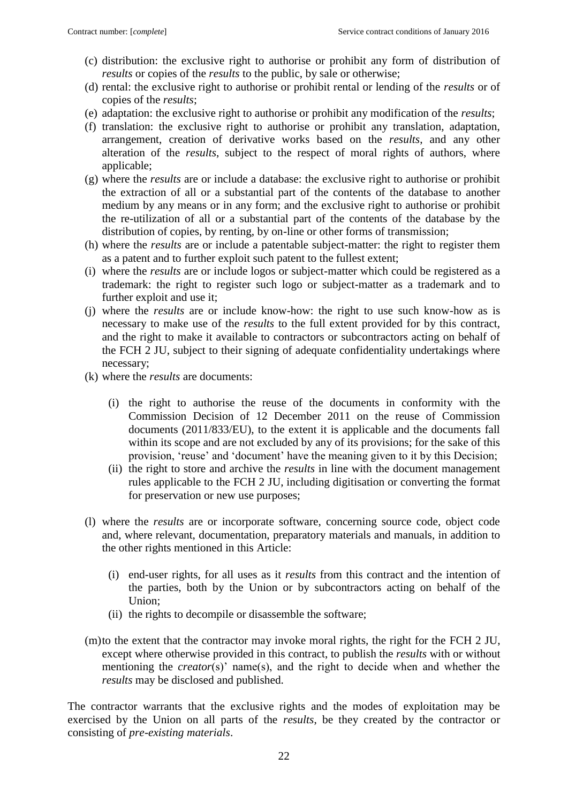- (c) distribution: the exclusive right to authorise or prohibit any form of distribution of *results* or copies of the *results* to the public, by sale or otherwise;
- (d) rental: the exclusive right to authorise or prohibit rental or lending of the *results* or of copies of the *results*;
- (e) adaptation: the exclusive right to authorise or prohibit any modification of the *results*;
- (f) translation: the exclusive right to authorise or prohibit any translation, adaptation, arrangement, creation of derivative works based on the *results*, and any other alteration of the *results*, subject to the respect of moral rights of authors, where applicable;
- (g) where the *results* are or include a database: the exclusive right to authorise or prohibit the extraction of all or a substantial part of the contents of the database to another medium by any means or in any form; and the exclusive right to authorise or prohibit the re-utilization of all or a substantial part of the contents of the database by the distribution of copies, by renting, by on-line or other forms of transmission;
- (h) where the *results* are or include a patentable subject-matter: the right to register them as a patent and to further exploit such patent to the fullest extent;
- (i) where the *results* are or include logos or subject-matter which could be registered as a trademark: the right to register such logo or subject-matter as a trademark and to further exploit and use it;
- (j) where the *results* are or include know-how: the right to use such know-how as is necessary to make use of the *results* to the full extent provided for by this contract, and the right to make it available to contractors or subcontractors acting on behalf of the FCH 2 JU, subject to their signing of adequate confidentiality undertakings where necessary;
- (k) where the *results* are documents:
	- (i) the right to authorise the reuse of the documents in conformity with the Commission Decision of 12 December 2011 on the reuse of Commission documents (2011/833/EU), to the extent it is applicable and the documents fall within its scope and are not excluded by any of its provisions; for the sake of this provision, 'reuse' and 'document' have the meaning given to it by this Decision;
	- (ii) the right to store and archive the *results* in line with the document management rules applicable to the FCH 2 JU, including digitisation or converting the format for preservation or new use purposes;
- (l) where the *results* are or incorporate software, concerning source code, object code and, where relevant, documentation, preparatory materials and manuals, in addition to the other rights mentioned in this Article:
	- (i) end-user rights, for all uses as it *results* from this contract and the intention of the parties, both by the Union or by subcontractors acting on behalf of the Union;
	- (ii) the rights to decompile or disassemble the software;
- (m)to the extent that the contractor may invoke moral rights, the right for the FCH 2 JU, except where otherwise provided in this contract, to publish the *results* with or without mentioning the *creator*(s)' name(s), and the right to decide when and whether the *results* may be disclosed and published.

The contractor warrants that the exclusive rights and the modes of exploitation may be exercised by the Union on all parts of the *results*, be they created by the contractor or consisting of *pre-existing materials*.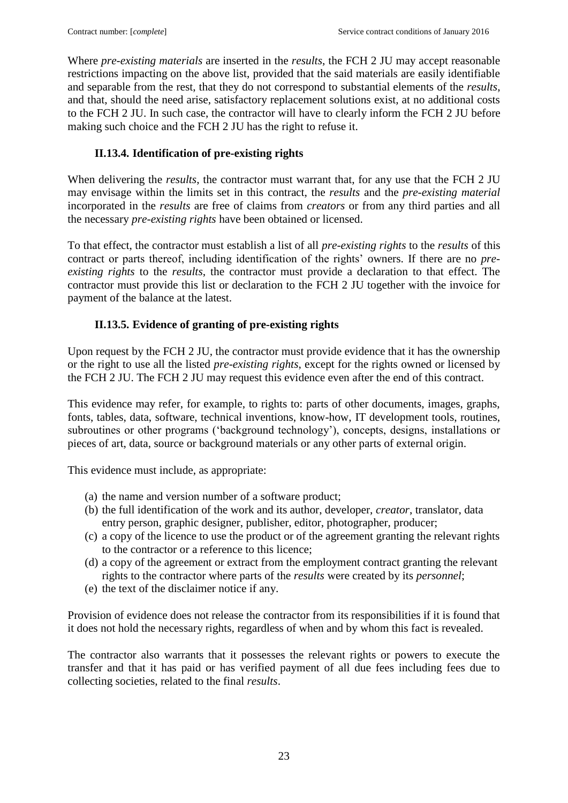Where *pre-existing materials* are inserted in the *results*, the FCH 2 JU may accept reasonable restrictions impacting on the above list, provided that the said materials are easily identifiable and separable from the rest, that they do not correspond to substantial elements of the *results*, and that, should the need arise, satisfactory replacement solutions exist, at no additional costs to the FCH 2 JU. In such case, the contractor will have to clearly inform the FCH 2 JU before making such choice and the FCH 2 JU has the right to refuse it.

### **II.13.4. Identification of pre-existing rights**

<span id="page-22-0"></span>When delivering the *results*, the contractor must warrant that, for any use that the FCH 2 JU may envisage within the limits set in this contract, the *results* and the *pre-existing material* incorporated in the *results* are free of claims from *creators* or from any third parties and all the necessary *pre-existing rights* have been obtained or licensed.

To that effect, the contractor must establish a list of all *pre-existing rights* to the *results* of this contract or parts thereof, including identification of the rights' owners. If there are no *preexisting rights* to the *results*, the contractor must provide a declaration to that effect. The contractor must provide this list or declaration to the FCH 2 JU together with the invoice for payment of the balance at the latest.

### **II.13.5. Evidence of granting of pre-existing rights**

<span id="page-22-1"></span>Upon request by the FCH 2 JU, the contractor must provide evidence that it has the ownership or the right to use all the listed *pre-existing rights*, except for the rights owned or licensed by the FCH 2 JU. The FCH 2 JU may request this evidence even after the end of this contract.

This evidence may refer, for example, to rights to: parts of other documents, images, graphs, fonts, tables, data, software, technical inventions, know-how, IT development tools, routines, subroutines or other programs ('background technology'), concepts, designs, installations or pieces of art, data, source or background materials or any other parts of external origin.

This evidence must include, as appropriate:

- (a) the name and version number of a software product;
- (b) the full identification of the work and its author, developer, *creator*, translator, data entry person, graphic designer, publisher, editor, photographer, producer;
- (c) a copy of the licence to use the product or of the agreement granting the relevant rights to the contractor or a reference to this licence;
- (d) a copy of the agreement or extract from the employment contract granting the relevant rights to the contractor where parts of the *results* were created by its *personnel*;
- (e) the text of the disclaimer notice if any.

Provision of evidence does not release the contractor from its responsibilities if it is found that it does not hold the necessary rights, regardless of when and by whom this fact is revealed.

The contractor also warrants that it possesses the relevant rights or powers to execute the transfer and that it has paid or has verified payment of all due fees including fees due to collecting societies, related to the final *results*.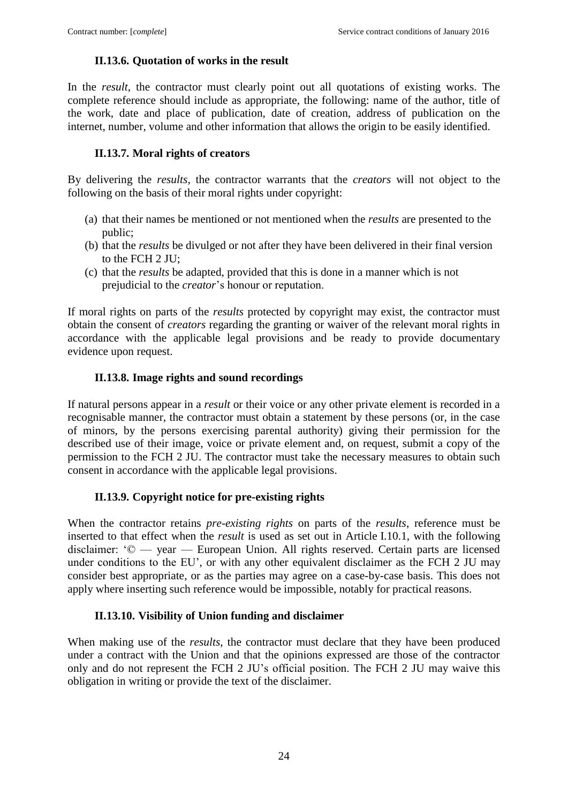### **II.13.6. Quotation of works in the result**

<span id="page-23-0"></span>In the *result*, the contractor must clearly point out all quotations of existing works. The complete reference should include as appropriate, the following: name of the author, title of the work, date and place of publication, date of creation, address of publication on the internet, number, volume and other information that allows the origin to be easily identified.

### **II.13.7. Moral rights of creators**

<span id="page-23-1"></span>By delivering the *results*, the contractor warrants that the *creators* will not object to the following on the basis of their moral rights under copyright:

- (a) that their names be mentioned or not mentioned when the *results* are presented to the public;
- (b) that the *results* be divulged or not after they have been delivered in their final version to the FCH 2 JU;
- (c) that the *results* be adapted, provided that this is done in a manner which is not prejudicial to the *creator*'s honour or reputation.

If moral rights on parts of the *results* protected by copyright may exist, the contractor must obtain the consent of *creators* regarding the granting or waiver of the relevant moral rights in accordance with the applicable legal provisions and be ready to provide documentary evidence upon request.

## **II.13.8. Image rights and sound recordings**

<span id="page-23-2"></span>If natural persons appear in a *result* or their voice or any other private element is recorded in a recognisable manner, the contractor must obtain a statement by these persons (or, in the case of minors, by the persons exercising parental authority) giving their permission for the described use of their image, voice or private element and, on request, submit a copy of the permission to the FCH 2 JU. The contractor must take the necessary measures to obtain such consent in accordance with the applicable legal provisions.

## **II.13.9. Copyright notice for pre-existing rights**

<span id="page-23-3"></span>When the contractor retains *pre-existing rights* on parts of the *results*, reference must be inserted to that effect when the *result* is used as set out in Article I.10.1, with the following disclaimer: '© — year — European Union. All rights reserved. Certain parts are licensed under conditions to the EU', or with any other equivalent disclaimer as the FCH 2 JU may consider best appropriate, or as the parties may agree on a case-by-case basis. This does not apply where inserting such reference would be impossible, notably for practical reasons.

### **II.13.10. Visibility of Union funding and disclaimer**

<span id="page-23-4"></span>When making use of the *results*, the contractor must declare that they have been produced under a contract with the Union and that the opinions expressed are those of the contractor only and do not represent the FCH 2 JU's official position. The FCH 2 JU may waive this obligation in writing or provide the text of the disclaimer.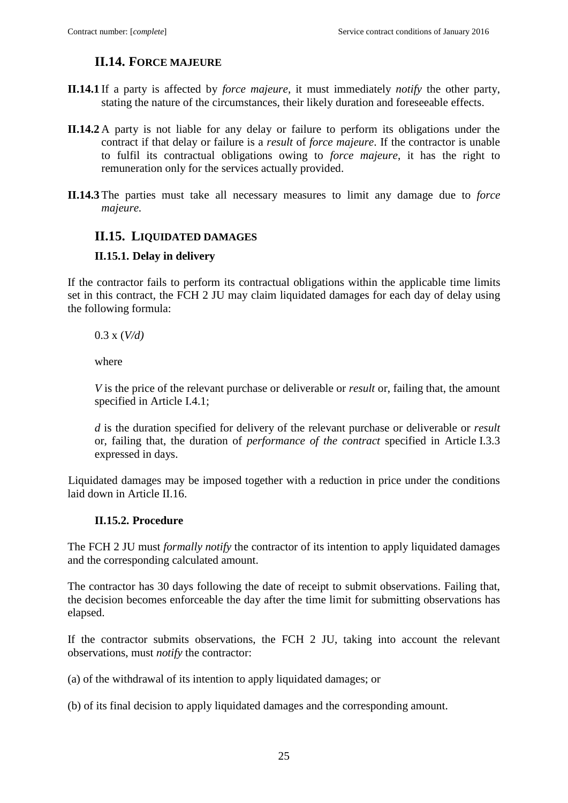### **II.14. FORCE MAJEURE**

- <span id="page-24-0"></span>**II.14.1** If a party is affected by *force majeure*, it must immediately *notify* the other party, stating the nature of the circumstances, their likely duration and foreseeable effects.
- **II.14.2** A party is not liable for any delay or failure to perform its obligations under the contract if that delay or failure is a *result* of *force majeure*. If the contractor is unable to fulfil its contractual obligations owing to *force majeure*, it has the right to remuneration only for the services actually provided.
- **II.14.3** The parties must take all necessary measures to limit any damage due to *force majeure.*

#### <span id="page-24-1"></span>**II.15. LIQUIDATED DAMAGES**

#### <span id="page-24-2"></span>**II.15.1. Delay in delivery**

If the contractor fails to perform its contractual obligations within the applicable time limits set in this contract, the FCH 2 JU may claim liquidated damages for each day of delay using the following formula:

0.3 x (*V/d)*

where

*V* is the price of the relevant purchase or deliverable or *result* or, failing that, the amount specified in Article I.4.1;

*d* is the duration specified for delivery of the relevant purchase or deliverable or *result* or, failing that, the duration of *performance of the contract* specified in Article I.3.3 expressed in days.

Liquidated damages may be imposed together with a reduction in price under the conditions laid down in Article II.16.

#### **II.15.2. Procedure**

<span id="page-24-3"></span>The FCH 2 JU must *formally notify* the contractor of its intention to apply liquidated damages and the corresponding calculated amount.

The contractor has 30 days following the date of receipt to submit observations. Failing that, the decision becomes enforceable the day after the time limit for submitting observations has elapsed.

If the contractor submits observations, the FCH 2 JU, taking into account the relevant observations, must *notify* the contractor:

(a) of the withdrawal of its intention to apply liquidated damages; or

(b) of its final decision to apply liquidated damages and the corresponding amount.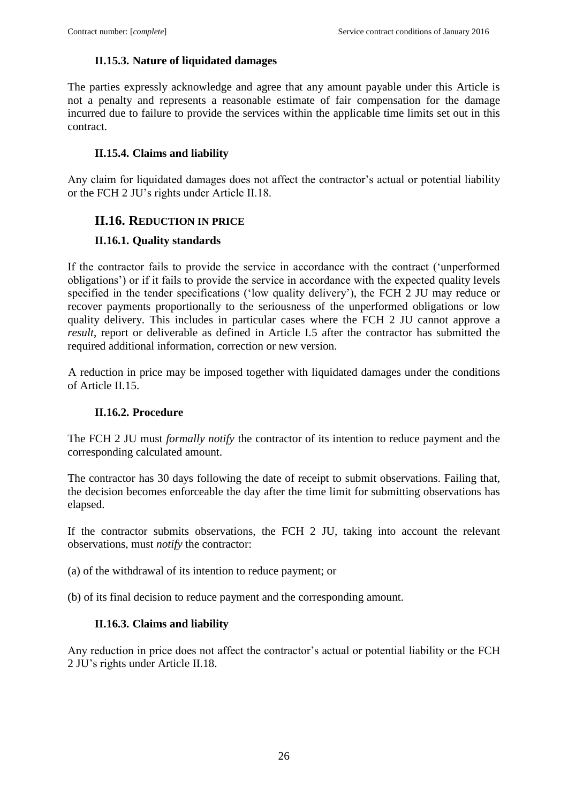### **II.15.3. Nature of liquidated damages**

<span id="page-25-0"></span>The parties expressly acknowledge and agree that any amount payable under this Article is not a penalty and represents a reasonable estimate of fair compensation for the damage incurred due to failure to provide the services within the applicable time limits set out in this contract.

#### **II.15.4. Claims and liability**

<span id="page-25-1"></span>Any claim for liquidated damages does not affect the contractor's actual or potential liability or the FCH 2 JU's rights under Article II.18.

### <span id="page-25-2"></span>**II.16. REDUCTION IN PRICE**

### <span id="page-25-3"></span>**II.16.1. Quality standards**

If the contractor fails to provide the service in accordance with the contract ('unperformed obligations') or if it fails to provide the service in accordance with the expected quality levels specified in the tender specifications ('low quality delivery'), the FCH 2 JU may reduce or recover payments proportionally to the seriousness of the unperformed obligations or low quality delivery. This includes in particular cases where the FCH 2 JU cannot approve a *result*, report or deliverable as defined in Article I.5 after the contractor has submitted the required additional information, correction or new version.

A reduction in price may be imposed together with liquidated damages under the conditions of Article II.15.

#### **II.16.2. Procedure**

<span id="page-25-4"></span>The FCH 2 JU must *formally notify* the contractor of its intention to reduce payment and the corresponding calculated amount.

The contractor has 30 days following the date of receipt to submit observations. Failing that, the decision becomes enforceable the day after the time limit for submitting observations has elapsed.

If the contractor submits observations, the FCH 2 JU, taking into account the relevant observations, must *notify* the contractor:

(a) of the withdrawal of its intention to reduce payment; or

<span id="page-25-5"></span>(b) of its final decision to reduce payment and the corresponding amount.

#### **II.16.3. Claims and liability**

Any reduction in price does not affect the contractor's actual or potential liability or the FCH 2 JU's rights under Article II.18.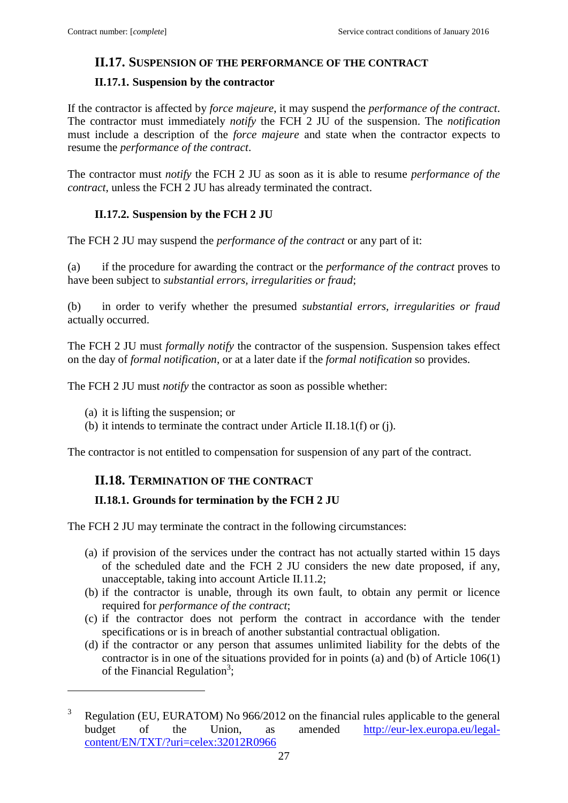## <span id="page-26-0"></span>**II.17. SUSPENSION OF THE PERFORMANCE OF THE CONTRACT**

### <span id="page-26-1"></span>**II.17.1. Suspension by the contractor**

If the contractor is affected by *force majeure*, it may suspend the *performance of the contract*. The contractor must immediately *notify* the FCH 2 JU of the suspension. The *notification* must include a description of the *force majeure* and state when the contractor expects to resume the *performance of the contract*.

The contractor must *notify* the FCH 2 JU as soon as it is able to resume *performance of the contract*, unless the FCH 2 JU has already terminated the contract.

## **II.17.2. Suspension by the FCH 2 JU**

<span id="page-26-2"></span>The FCH 2 JU may suspend the *performance of the contract* or any part of it:

(a) if the procedure for awarding the contract or the *performance of the contract* proves to have been subject to *substantial errors, irregularities or fraud*;

(b) in order to verify whether the presumed *substantial errors, irregularities or fraud* actually occurred.

The FCH 2 JU must *formally notify* the contractor of the suspension. Suspension takes effect on the day of *formal notification*, or at a later date if the *formal notification* so provides.

The FCH 2 JU must *notify* the contractor as soon as possible whether:

(a) it is lifting the suspension; or

 $\overline{a}$ 

(b) it intends to terminate the contract under Article II.18.1(f) or (j).

<span id="page-26-3"></span>The contractor is not entitled to compensation for suspension of any part of the contract.

## **II.18. TERMINATION OF THE CONTRACT**

### <span id="page-26-4"></span>**II.18.1. Grounds for termination by the FCH 2 JU**

The FCH 2 JU may terminate the contract in the following circumstances:

- (a) if provision of the services under the contract has not actually started within 15 days of the scheduled date and the FCH 2 JU considers the new date proposed, if any, unacceptable, taking into account Article II.11.2;
- (b) if the contractor is unable, through its own fault, to obtain any permit or licence required for *performance of the contract*;
- (c) if the contractor does not perform the contract in accordance with the tender specifications or is in breach of another substantial contractual obligation.
- (d) if the contractor or any person that assumes unlimited liability for the debts of the contractor is in one of the situations provided for in points (a) and (b) of Article 106(1) of the Financial Regulation<sup>3</sup>;

Regulation (EU, EURATOM) No 966/2012 on the financial rules applicable to the general budget of the Union, as amended [http://eur-lex.europa.eu/legal](http://eur-lex.europa.eu/legal-content/EN/TXT/?uri=celex:32012R0966)[content/EN/TXT/?uri=celex:32012R0966](http://eur-lex.europa.eu/legal-content/EN/TXT/?uri=celex:32012R0966)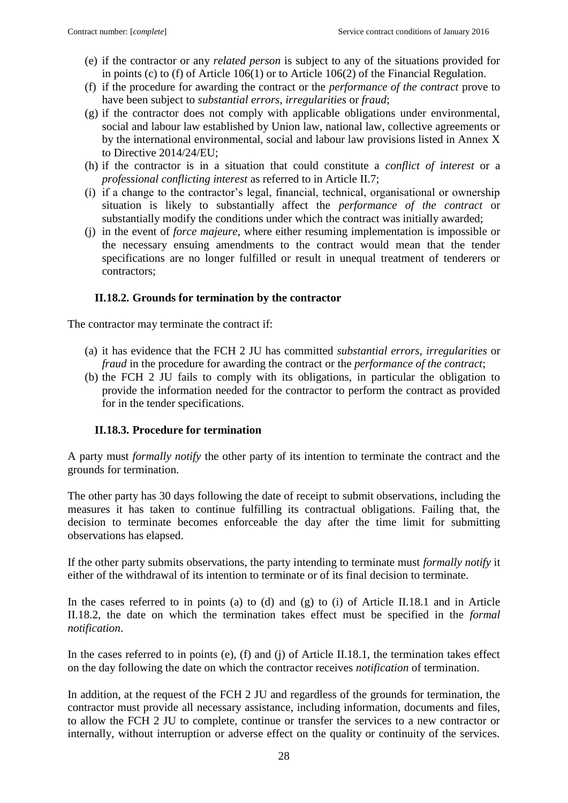- (e) if the contractor or any *related person* is subject to any of the situations provided for in points (c) to (f) of Article 106(1) or to Article 106(2) of the Financial Regulation.
- (f) if the procedure for awarding the contract or the *performance of the contract* prove to have been subject to *substantial errors*, *irregularities* or *fraud*;
- (g) if the contractor does not comply with applicable obligations under environmental, social and labour law established by Union law, national law, collective agreements or by the international environmental, social and labour law provisions listed in Annex X to Directive 2014/24/EU;
- (h) if the contractor is in a situation that could constitute a *conflict of interest* or a *professional conflicting interest* as referred to in Article II.7;
- (i) if a change to the contractor's legal, financial, technical, organisational or ownership situation is likely to substantially affect the *performance of the contract* or substantially modify the conditions under which the contract was initially awarded;
- (j) in the event of *force majeure*, where either resuming implementation is impossible or the necessary ensuing amendments to the contract would mean that the tender specifications are no longer fulfilled or result in unequal treatment of tenderers or contractors;

#### **II.18.2. Grounds for termination by the contractor**

<span id="page-27-0"></span>The contractor may terminate the contract if:

- (a) it has evidence that the FCH 2 JU has committed *substantial errors*, *irregularities* or *fraud* in the procedure for awarding the contract or the *performance of the contract*;
- (b) the FCH 2 JU fails to comply with its obligations, in particular the obligation to provide the information needed for the contractor to perform the contract as provided for in the tender specifications.

#### **II.18.3. Procedure for termination**

<span id="page-27-1"></span>A party must *formally notify* the other party of its intention to terminate the contract and the grounds for termination.

The other party has 30 days following the date of receipt to submit observations, including the measures it has taken to continue fulfilling its contractual obligations. Failing that, the decision to terminate becomes enforceable the day after the time limit for submitting observations has elapsed.

If the other party submits observations, the party intending to terminate must *formally notify* it either of the withdrawal of its intention to terminate or of its final decision to terminate.

In the cases referred to in points (a) to (d) and (g) to (i) of Article II.18.1 and in Article II.18.2, the date on which the termination takes effect must be specified in the *formal notification*.

In the cases referred to in points (e), (f) and (j) of Article II.18.1, the termination takes effect on the day following the date on which the contractor receives *notification* of termination.

In addition, at the request of the FCH 2 JU and regardless of the grounds for termination, the contractor must provide all necessary assistance, including information, documents and files, to allow the FCH 2 JU to complete, continue or transfer the services to a new contractor or internally, without interruption or adverse effect on the quality or continuity of the services.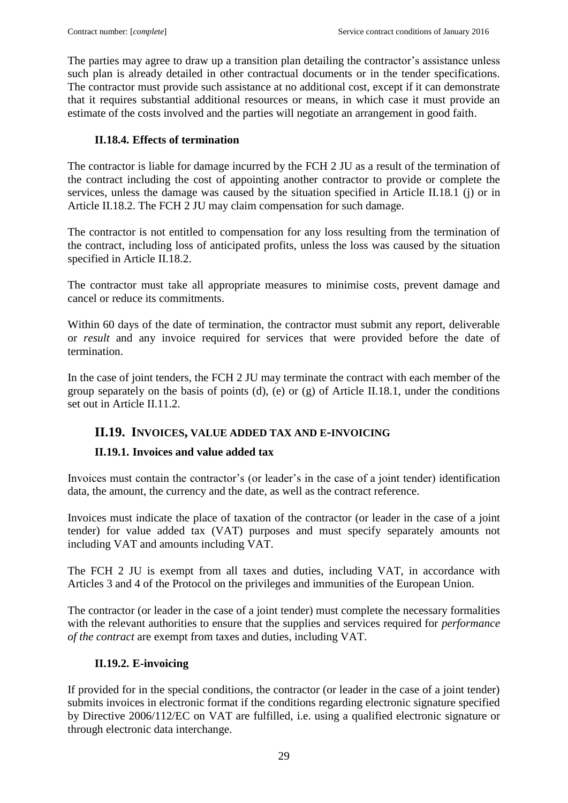The parties may agree to draw up a transition plan detailing the contractor's assistance unless such plan is already detailed in other contractual documents or in the tender specifications. The contractor must provide such assistance at no additional cost, except if it can demonstrate that it requires substantial additional resources or means, in which case it must provide an estimate of the costs involved and the parties will negotiate an arrangement in good faith.

### **II.18.4. Effects of termination**

<span id="page-28-0"></span>The contractor is liable for damage incurred by the FCH 2 JU as a result of the termination of the contract including the cost of appointing another contractor to provide or complete the services, unless the damage was caused by the situation specified in Article II.18.1 (j) or in Article II.18.2. The FCH 2 JU may claim compensation for such damage.

The contractor is not entitled to compensation for any loss resulting from the termination of the contract, including loss of anticipated profits, unless the loss was caused by the situation specified in Article II.18.2.

The contractor must take all appropriate measures to minimise costs, prevent damage and cancel or reduce its commitments.

Within 60 days of the date of termination, the contractor must submit any report, deliverable or *result* and any invoice required for services that were provided before the date of termination.

In the case of joint tenders, the FCH 2 JU may terminate the contract with each member of the group separately on the basis of points (d), (e) or (g) of Article II.18.1, under the conditions set out in Article II.11.2.

### <span id="page-28-1"></span>**II.19. INVOICES, VALUE ADDED TAX AND E-INVOICING**

### <span id="page-28-2"></span>**II.19.1. Invoices and value added tax**

Invoices must contain the contractor's (or leader's in the case of a joint tender) identification data, the amount, the currency and the date, as well as the contract reference.

Invoices must indicate the place of taxation of the contractor (or leader in the case of a joint tender) for value added tax (VAT) purposes and must specify separately amounts not including VAT and amounts including VAT.

The FCH 2 JU is exempt from all taxes and duties, including VAT, in accordance with Articles 3 and 4 of the Protocol on the privileges and immunities of the European Union.

The contractor (or leader in the case of a joint tender) must complete the necessary formalities with the relevant authorities to ensure that the supplies and services required for *performance of the contract* are exempt from taxes and duties, including VAT.

#### **II.19.2. E-invoicing**

<span id="page-28-3"></span>If provided for in the special conditions, the contractor (or leader in the case of a joint tender) submits invoices in electronic format if the conditions regarding electronic signature specified by Directive 2006/112/EC on VAT are fulfilled, i.e. using a qualified electronic signature or through electronic data interchange.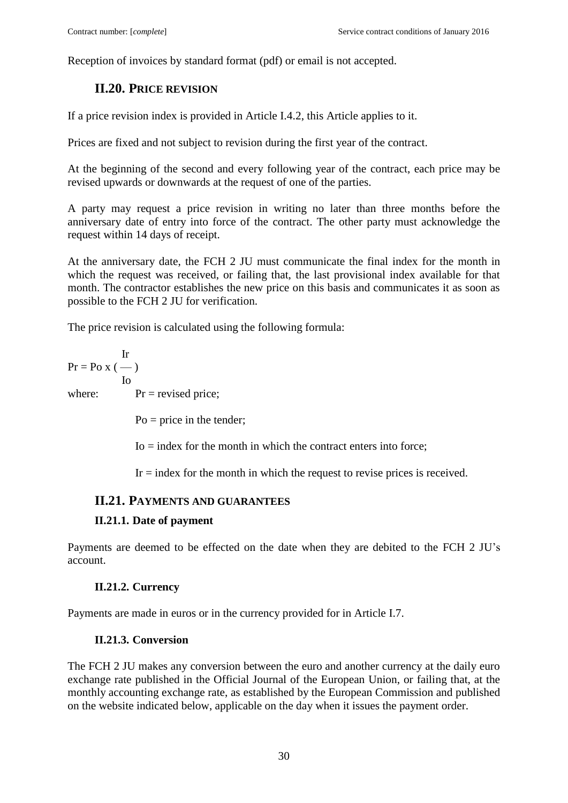<span id="page-29-0"></span>Reception of invoices by standard format (pdf) or email is not accepted.

## **II.20. PRICE REVISION**

If a price revision index is provided in Article I.4.2, this Article applies to it.

Prices are fixed and not subject to revision during the first year of the contract.

At the beginning of the second and every following year of the contract, each price may be revised upwards or downwards at the request of one of the parties.

A party may request a price revision in writing no later than three months before the anniversary date of entry into force of the contract. The other party must acknowledge the request within 14 days of receipt.

At the anniversary date, the FCH 2 JU must communicate the final index for the month in which the request was received, or failing that, the last provisional index available for that month. The contractor establishes the new price on this basis and communicates it as soon as possible to the FCH 2 JU for verification.

The price revision is calculated using the following formula:

Ir  $Pr = PoX$  (--) Io where:  $Pr = \text{revised price};$ 

Po = price in the tender;

 $I_0$  = index for the month in which the contract enters into force;

 $Ir = index$  for the month in which the request to revise prices is received.

### <span id="page-29-1"></span>**II.21. PAYMENTS AND GUARANTEES**

### <span id="page-29-2"></span>**II.21.1. Date of payment**

Payments are deemed to be effected on the date when they are debited to the FCH 2 JU's account.

### **II.21.2. Currency**

<span id="page-29-4"></span><span id="page-29-3"></span>Payments are made in euros or in the currency provided for in Article I.7.

### **II.21.3. Conversion**

The FCH 2 JU makes any conversion between the euro and another currency at the daily euro exchange rate published in the Official Journal of the European Union, or failing that, at the monthly accounting exchange rate, as established by the European Commission and published on the website indicated below, applicable on the day when it issues the payment order.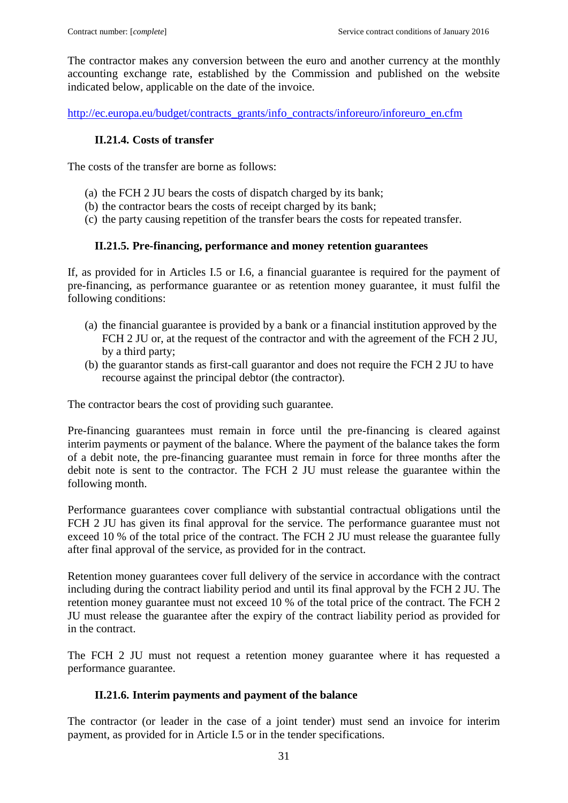The contractor makes any conversion between the euro and another currency at the monthly accounting exchange rate, established by the Commission and published on the website indicated below, applicable on the date of the invoice.

<span id="page-30-0"></span>[http://ec.europa.eu/budget/contracts\\_grants/info\\_contracts/inforeuro/inforeuro\\_en.cfm](http://ec.europa.eu/budget/contracts_grants/info_contracts/inforeuro/inforeuro_en.cfm)

### **II.21.4. Costs of transfer**

The costs of the transfer are borne as follows:

- (a) the FCH 2 JU bears the costs of dispatch charged by its bank;
- (b) the contractor bears the costs of receipt charged by its bank;
- (c) the party causing repetition of the transfer bears the costs for repeated transfer.

### **II.21.5. Pre-financing, performance and money retention guarantees**

<span id="page-30-1"></span>If, as provided for in Articles I.5 or I.6*,* a financial guarantee is required for the payment of pre-financing, as performance guarantee or as retention money guarantee, it must fulfil the following conditions:

- (a) the financial guarantee is provided by a bank or a financial institution approved by the FCH 2 JU or, at the request of the contractor and with the agreement of the FCH 2 JU, by a third party;
- (b) the guarantor stands as first-call guarantor and does not require the FCH 2 JU to have recourse against the principal debtor (the contractor).

The contractor bears the cost of providing such guarantee.

Pre-financing guarantees must remain in force until the pre-financing is cleared against interim payments or payment of the balance. Where the payment of the balance takes the form of a debit note, the pre-financing guarantee must remain in force for three months after the debit note is sent to the contractor. The FCH 2 JU must release the guarantee within the following month.

Performance guarantees cover compliance with substantial contractual obligations until the FCH 2 JU has given its final approval for the service. The performance guarantee must not exceed 10 % of the total price of the contract. The FCH 2 JU must release the guarantee fully after final approval of the service, as provided for in the contract.

Retention money guarantees cover full delivery of the service in accordance with the contract including during the contract liability period and until its final approval by the FCH 2 JU. The retention money guarantee must not exceed 10 % of the total price of the contract. The FCH 2 JU must release the guarantee after the expiry of the contract liability period as provided for in the contract.

The FCH 2 JU must not request a retention money guarantee where it has requested a performance guarantee.

### **II.21.6. Interim payments and payment of the balance**

<span id="page-30-2"></span>The contractor (or leader in the case of a joint tender) must send an invoice for interim payment, as provided for in Article I.5 or in the tender specifications.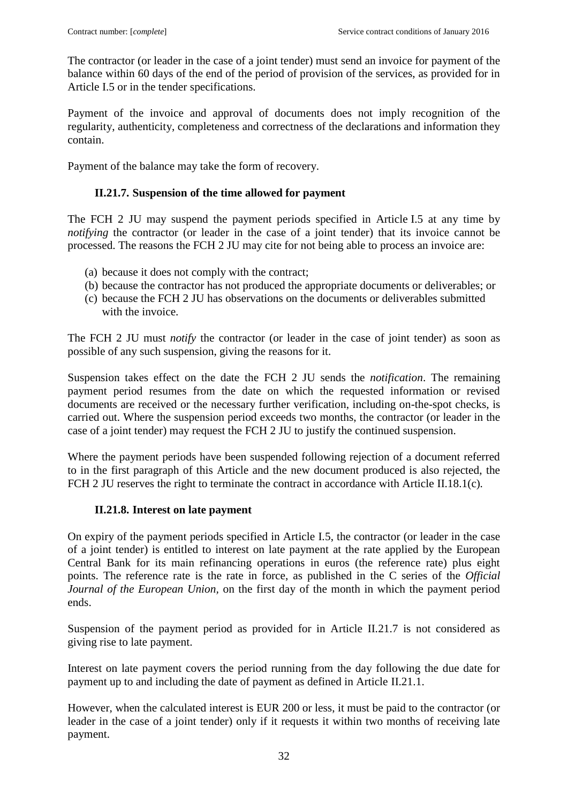The contractor (or leader in the case of a joint tender) must send an invoice for payment of the balance within 60 days of the end of the period of provision of the services, as provided for in Article I.5 or in the tender specifications.

Payment of the invoice and approval of documents does not imply recognition of the regularity, authenticity, completeness and correctness of the declarations and information they contain.

Payment of the balance may take the form of recovery.

### **II.21.7. Suspension of the time allowed for payment**

<span id="page-31-0"></span>The FCH 2 JU may suspend the payment periods specified in Article I.5 at any time by *notifying* the contractor (or leader in the case of a joint tender) that its invoice cannot be processed. The reasons the FCH 2 JU may cite for not being able to process an invoice are:

- (a) because it does not comply with the contract;
- (b) because the contractor has not produced the appropriate documents or deliverables; or
- (c) because the FCH 2 JU has observations on the documents or deliverables submitted with the invoice.

The FCH 2 JU must *notify* the contractor (or leader in the case of joint tender) as soon as possible of any such suspension, giving the reasons for it.

Suspension takes effect on the date the FCH 2 JU sends the *notification*. The remaining payment period resumes from the date on which the requested information or revised documents are received or the necessary further verification, including on-the-spot checks, is carried out. Where the suspension period exceeds two months, the contractor (or leader in the case of a joint tender) may request the FCH 2 JU to justify the continued suspension.

Where the payment periods have been suspended following rejection of a document referred to in the first paragraph of this Article and the new document produced is also rejected, the FCH 2 JU reserves the right to terminate the contract in accordance with Article II.18.1(c)*.*

#### **II.21.8. Interest on late payment**

<span id="page-31-1"></span>On expiry of the payment periods specified in Article I.5, the contractor (or leader in the case of a joint tender) is entitled to interest on late payment at the rate applied by the European Central Bank for its main refinancing operations in euros (the reference rate) plus eight points. The reference rate is the rate in force, as published in the C series of the *Official Journal of the European Union,* on the first day of the month in which the payment period ends.

Suspension of the payment period as provided for in Article II.21.7 is not considered as giving rise to late payment.

Interest on late payment covers the period running from the day following the due date for payment up to and including the date of payment as defined in Article II.21.1.

However, when the calculated interest is EUR 200 or less, it must be paid to the contractor (or leader in the case of a joint tender) only if it requests it within two months of receiving late payment.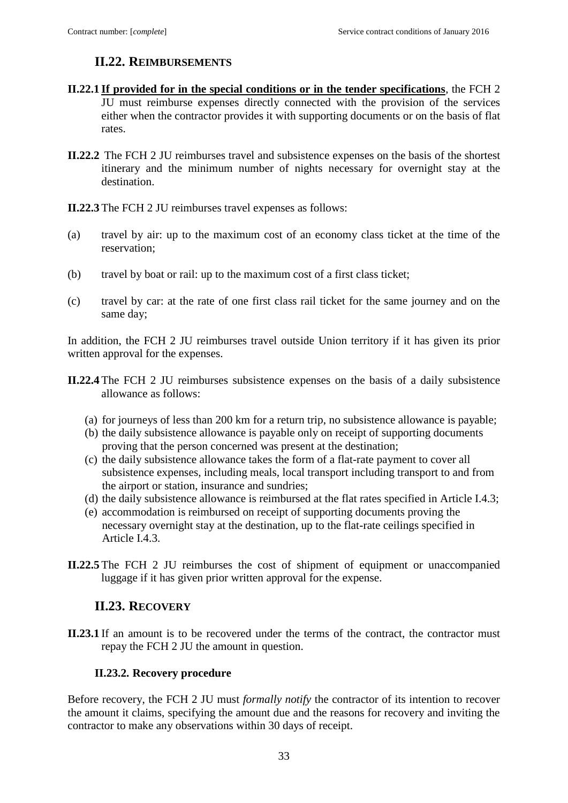## **II.22. REIMBURSEMENTS**

- <span id="page-32-0"></span>**II.22.1 If provided for in the special conditions or in the tender specifications**, the FCH 2 JU must reimburse expenses directly connected with the provision of the services either when the contractor provides it with supporting documents or on the basis of flat rates.
- **II.22.2** The FCH 2 JU reimburses travel and subsistence expenses on the basis of the shortest itinerary and the minimum number of nights necessary for overnight stay at the destination.
- **II.22.3** The FCH 2 JU reimburses travel expenses as follows:
- (a) travel by air: up to the maximum cost of an economy class ticket at the time of the reservation;
- (b) travel by boat or rail: up to the maximum cost of a first class ticket;
- (c) travel by car: at the rate of one first class rail ticket for the same journey and on the same day;

In addition, the FCH 2 JU reimburses travel outside Union territory if it has given its prior written approval for the expenses.

- **II.22.4** The FCH 2 JU reimburses subsistence expenses on the basis of a daily subsistence allowance as follows:
	- (a) for journeys of less than 200 km for a return trip, no subsistence allowance is payable;
	- (b) the daily subsistence allowance is payable only on receipt of supporting documents proving that the person concerned was present at the destination;
	- (c) the daily subsistence allowance takes the form of a flat-rate payment to cover all subsistence expenses, including meals, local transport including transport to and from the airport or station, insurance and sundries;
	- (d) the daily subsistence allowance is reimbursed at the flat rates specified in Article I.4.3;
	- (e) accommodation is reimbursed on receipt of supporting documents proving the necessary overnight stay at the destination, up to the flat-rate ceilings specified in Article I.4.3.
- **II.22.5** The FCH 2 JU reimburses the cost of shipment of equipment or unaccompanied luggage if it has given prior written approval for the expense.

### **II.23. RECOVERY**

<span id="page-32-1"></span>**II.23.1** If an amount is to be recovered under the terms of the contract, the contractor must repay the FCH 2 JU the amount in question.

#### **II.23.2. Recovery procedure**

<span id="page-32-2"></span>Before recovery, the FCH 2 JU must *formally notify* the contractor of its intention to recover the amount it claims, specifying the amount due and the reasons for recovery and inviting the contractor to make any observations within 30 days of receipt.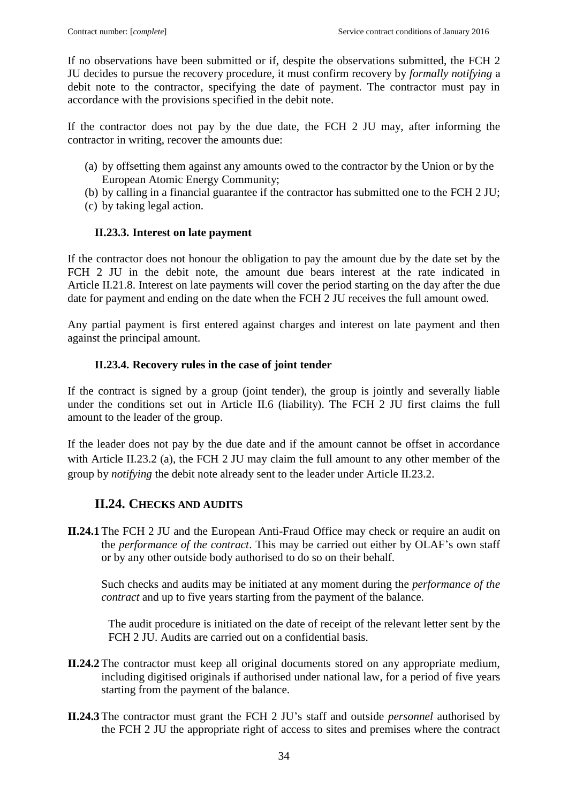If no observations have been submitted or if, despite the observations submitted, the FCH 2 JU decides to pursue the recovery procedure, it must confirm recovery by *formally notifying* a debit note to the contractor, specifying the date of payment. The contractor must pay in accordance with the provisions specified in the debit note.

If the contractor does not pay by the due date, the FCH 2 JU may, after informing the contractor in writing, recover the amounts due:

- (a) by offsetting them against any amounts owed to the contractor by the Union or by the European Atomic Energy Community;
- (b) by calling in a financial guarantee if the contractor has submitted one to the FCH 2 JU;
- (c) by taking legal action.

### **II.23.3. Interest on late payment**

<span id="page-33-0"></span>If the contractor does not honour the obligation to pay the amount due by the date set by the FCH 2 JU in the debit note, the amount due bears interest at the rate indicated in Article II.21.8. Interest on late payments will cover the period starting on the day after the due date for payment and ending on the date when the FCH 2 JU receives the full amount owed.

Any partial payment is first entered against charges and interest on late payment and then against the principal amount.

### **II.23.4. Recovery rules in the case of joint tender**

<span id="page-33-1"></span>If the contract is signed by a group (joint tender), the group is jointly and severally liable under the conditions set out in Article II.6 (liability). The FCH 2 JU first claims the full amount to the leader of the group.

If the leader does not pay by the due date and if the amount cannot be offset in accordance with Article II.23.2 (a), the FCH 2 JU may claim the full amount to any other member of the group by *notifying* the debit note already sent to the leader under Article II.23.2.

### **II.24. CHECKS AND AUDITS**

<span id="page-33-2"></span>**II.24.1** The FCH 2 JU and the European Anti-Fraud Office may check or require an audit on the *performance of the contract*. This may be carried out either by OLAF's own staff or by any other outside body authorised to do so on their behalf.

Such checks and audits may be initiated at any moment during the *performance of the contract* and up to five years starting from the payment of the balance.

The audit procedure is initiated on the date of receipt of the relevant letter sent by the FCH 2 JU. Audits are carried out on a confidential basis.

- **II.24.2** The contractor must keep all original documents stored on any appropriate medium, including digitised originals if authorised under national law, for a period of five years starting from the payment of the balance.
- **II.24.3** The contractor must grant the FCH 2 JU's staff and outside *personnel* authorised by the FCH 2 JU the appropriate right of access to sites and premises where the contract